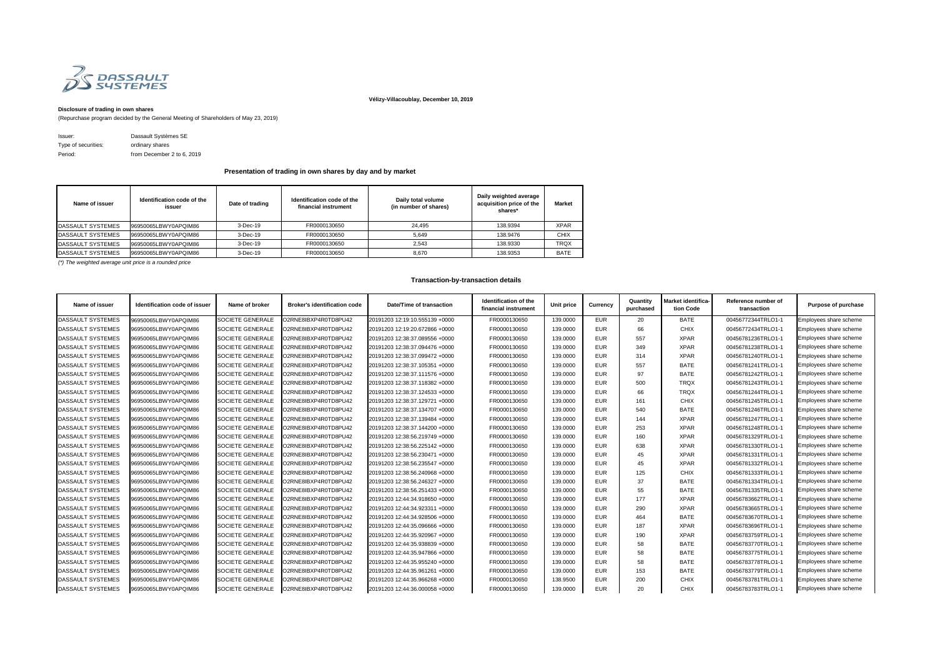

## **Vélizy-Villacoublay, December 10, 2019**

## **Disclosure of trading in own shares**

(Repurchase program decided by the General Meeting of Shareholders of May 23, 2019)

| Issuer:             | Dassault Systèmes SE       |
|---------------------|----------------------------|
| Type of securities: | ordinary shares            |
| Period:             | from December 2 to 6, 2019 |

| Name of issuer            | Identification code of the<br>issuer | Date of trading | Identification code of the<br>financial instrument | Daily total volume<br>(in number of shares) | Daily weighted average<br>acquisition price of the<br>shares* | <b>Market</b> |
|---------------------------|--------------------------------------|-----------------|----------------------------------------------------|---------------------------------------------|---------------------------------------------------------------|---------------|
| DASSAULT SYSTEMES         | 96950065LBWY0APQIM86                 | $3-Dec-19$      | FR0000130650                                       | 24.495                                      | 138.9394                                                      | <b>XPAR</b>   |
| DASSAULT SYSTEMES         | 96950065LBWY0APQIM86                 | $3-Dec-19$      | FR0000130650                                       | 5.649                                       | 138.9476                                                      | <b>CHIX</b>   |
| DASSAULT SYSTEMES         | 196950065LBWY0APQIM86                | $3-Dec-19$      | FR0000130650                                       | 2.543                                       | 138.9330                                                      | <b>TRQX</b>   |
| <b>IDASSAULT SYSTEMES</b> | 196950065LBWY0APQIM86                | $3-Dec-19$      | FR0000130650                                       | 8.670                                       | 138.9353                                                      | BATE          |

*(\*) The weighted average unit price is a rounded price*

| Name of issuer           | <b>Identification code of issuer</b> | Name of broker          | <b>Broker's identification code</b> | Date/Time of transaction       | Identification of the<br>financial instrument | Unit price | <b>Currency</b> | Quantity<br>purchased | Market identifica-<br>tion Code | Reference number of<br>transaction | <b>Purpose of purchase</b> |
|--------------------------|--------------------------------------|-------------------------|-------------------------------------|--------------------------------|-----------------------------------------------|------------|-----------------|-----------------------|---------------------------------|------------------------------------|----------------------------|
| DASSAULT SYSTEMES        | 96950065LBWY0APQIM86                 | <b>SOCIETE GENERALE</b> | O2RNE8IBXP4R0TD8PU42                | 20191203 12:19:10.555139 +0000 | FR0000130650                                  | 139.0000   | <b>EUR</b>      | 20                    | <b>BATE</b>                     | 00456772344TRLO1-1                 | Employees share scheme     |
| <b>DASSAULT SYSTEMES</b> | 96950065LBWY0APQIM86                 | <b>SOCIETE GENERALE</b> | O2RNE8IBXP4R0TD8PU42                | 20191203 12:19:20.672866 +0000 | FR0000130650                                  | 139.0000   | <b>EUR</b>      | 66                    | <b>CHIX</b>                     | 00456772434TRLO1-1                 | Employees share scheme     |
| <b>DASSAULT SYSTEMES</b> | 96950065LBWY0APQIM86                 | <b>SOCIETE GENERALE</b> | O2RNE8IBXP4R0TD8PU42                | 20191203 12:38:37.089556 +0000 | FR0000130650                                  | 139.0000   | <b>EUR</b>      | 557                   | <b>XPAR</b>                     | 00456781236TRLO1-1                 | Employees share scheme     |
| DASSAULT SYSTEMES        | 96950065LBWY0APQIM86                 | <b>SOCIETE GENERALE</b> | O2RNE8IBXP4R0TD8PU42                | 20191203 12:38:37.094476 +0000 | FR0000130650                                  | 139.0000   | <b>EUR</b>      | 349                   | <b>XPAR</b>                     | 00456781238TRLO1-1                 | Employees share scheme     |
| <b>DASSAULT SYSTEMES</b> | 96950065LBWY0APQIM86                 | <b>SOCIETE GENERALE</b> | O2RNE8IBXP4R0TD8PU42                | 20191203 12:38:37.099472 +0000 | FR0000130650                                  | 139.0000   | <b>EUR</b>      | 314                   | <b>XPAR</b>                     | 00456781240TRLO1-1                 | Employees share scheme     |
| <b>DASSAULT SYSTEMES</b> | 96950065LBWY0APQIM86                 | <b>SOCIETE GENERALE</b> | O2RNE8IBXP4R0TD8PU42                | 20191203 12:38:37.105351 +0000 | FR0000130650                                  | 139.0000   | <b>EUR</b>      | 557                   | <b>BATE</b>                     | 00456781241TRLO1-1                 | Employees share scheme     |
| DASSAULT SYSTEMES        | 96950065LBWY0APQIM86                 | <b>SOCIETE GENERALE</b> | O2RNE8IBXP4R0TD8PU42                | 20191203 12:38:37.111576 +0000 | FR0000130650                                  | 139.0000   | <b>EUR</b>      | 97                    | <b>BATE</b>                     | 00456781242TRLO1-1                 | Employees share scheme     |
| <b>DASSAULT SYSTEMES</b> | 96950065LBWY0APQIM86                 | <b>SOCIETE GENERALE</b> | O2RNE8IBXP4R0TD8PU42                | 20191203 12:38:37.118382 +0000 | FR0000130650                                  | 139.0000   | <b>EUR</b>      | 500                   | <b>TRQX</b>                     | 00456781243TRLO1-1                 | Employees share scheme     |
| <b>DASSAULT SYSTEMES</b> | 96950065LBWY0APQIM86                 | <b>SOCIETE GENERALE</b> | O2RNE8IBXP4R0TD8PU42                | 20191203 12:38:37.124533 +0000 | FR0000130650                                  | 139.0000   | <b>EUR</b>      | 66                    | <b>TRQX</b>                     | 00456781244TRLO1-1                 | Employees share scheme     |
| <b>DASSAULT SYSTEMES</b> | 96950065LBWY0APQIM86                 | <b>SOCIETE GENERALE</b> | O2RNE8IBXP4R0TD8PU42                | 20191203 12:38:37.129721 +0000 | FR0000130650                                  | 139.0000   | <b>EUR</b>      | 161                   | <b>CHIX</b>                     | 00456781245TRLO1-1                 | Employees share scheme     |
| <b>DASSAULT SYSTEMES</b> | 96950065LBWY0APQIM86                 | <b>SOCIETE GENERALE</b> | O2RNE8IBXP4R0TD8PU42                | 20191203 12:38:37.134707 +0000 | FR0000130650                                  | 139.0000   | <b>EUR</b>      | 540                   | <b>BATE</b>                     | 00456781246TRLO1-1                 | Employees share scheme     |
| DASSAULT SYSTEMES        | 96950065LBWY0APQIM86                 | <b>SOCIETE GENERALE</b> | 02RNE8IBXP4R0TD8PU42                | 20191203 12:38:37.139484 +0000 | FR0000130650                                  | 139.0000   | <b>EUR</b>      | 144                   | <b>XPAR</b>                     | 00456781247TRLO1-1                 | Employees share scheme     |
| DASSAULT SYSTEMES        | 96950065LBWY0APQIM86                 | <b>SOCIETE GENERALE</b> | O2RNE8IBXP4R0TD8PU42                | 20191203 12:38:37.144200 +0000 | FR0000130650                                  | 139.0000   | <b>EUR</b>      | 253                   | <b>XPAR</b>                     | 00456781248TRLO1-1                 | Employees share scheme     |
| <b>DASSAULT SYSTEMES</b> | 96950065LBWY0APQIM86                 | <b>SOCIETE GENERALE</b> | O2RNE8IBXP4R0TD8PU42                | 20191203 12:38:56.219749 +0000 | FR0000130650                                  | 139.0000   | <b>EUR</b>      | 160                   | <b>XPAR</b>                     | 00456781329TRLO1-1                 | Employees share scheme     |
| <b>DASSAULT SYSTEMES</b> | 96950065LBWY0APQIM86                 | SOCIETE GENERALE        | O2RNE8IBXP4R0TD8PU42                | 20191203 12:38:56.225142 +0000 | FR0000130650                                  | 139.0000   | <b>EUR</b>      | 638                   | <b>XPAR</b>                     | 00456781330TRLO1-1                 | Employees share scheme     |
| DASSAULT SYSTEMES        | 96950065LBWY0APQIM86                 | <b>SOCIETE GENERALE</b> | O2RNE8IBXP4R0TD8PU42                | 20191203 12:38:56.230471 +0000 | FR0000130650                                  | 139.0000   | <b>EUR</b>      | 45                    | <b>XPAR</b>                     | 00456781331TRLO1-1                 | Employees share scheme     |
| <b>DASSAULT SYSTEMES</b> | 96950065LBWY0APQIM86                 | <b>SOCIETE GENERALE</b> | O2RNE8IBXP4R0TD8PU42                | 20191203 12:38:56.235547 +0000 | FR0000130650                                  | 139.0000   | <b>EUR</b>      | 45                    | <b>XPAR</b>                     | 00456781332TRLO1-1                 | Employees share scheme     |
| <b>DASSAULT SYSTEMES</b> | 96950065LBWY0APQIM86                 | <b>SOCIETE GENERALE</b> | O2RNE8IBXP4R0TD8PU42                | 20191203 12:38:56.240968 +0000 | FR0000130650                                  | 139.0000   | <b>EUR</b>      | 125                   | <b>CHIX</b>                     | 00456781333TRLO1-1                 | Employees share scheme     |
| DASSAULT SYSTEMES        | 96950065LBWY0APQIM86                 | <b>SOCIETE GENERALE</b> | O2RNE8IBXP4R0TD8PU42                | 20191203 12:38:56.246327 +0000 | FR0000130650                                  | 139.0000   | <b>EUR</b>      | 37                    | <b>BATE</b>                     | 00456781334TRLO1-1                 | Employees share scheme     |
| <b>DASSAULT SYSTEMES</b> | 96950065LBWY0APQIM86                 | SOCIETE GENERALE        | O2RNE8IBXP4R0TD8PU42                | 20191203 12:38:56.251433 +0000 | FR0000130650                                  | 139.0000   | <b>EUR</b>      | 55                    | <b>BATE</b>                     | 00456781335TRLO1-1                 | Employees share scheme     |
| DASSAULT SYSTEMES        | 96950065LBWY0APQIM86                 | <b>SOCIETE GENERALE</b> | O2RNE8IBXP4R0TD8PU42                | 20191203 12:44:34.918650 +0000 | FR0000130650                                  | 139.0000   | <b>EUR</b>      | 177                   | <b>XPAR</b>                     | 00456783662TRLO1-1                 | Employees share scheme     |
| <b>DASSAULT SYSTEMES</b> | 96950065LBWY0APQIM86                 | <b>SOCIETE GENERALE</b> | O2RNE8IBXP4R0TD8PU42                | 20191203 12:44:34.923311 +0000 | FR0000130650                                  | 139.0000   | <b>EUR</b>      | 290                   | <b>XPAR</b>                     | 00456783665TRLO1-1                 | Employees share scheme     |
| <b>DASSAULT SYSTEMES</b> | 96950065LBWY0APQIM86                 | <b>SOCIETE GENERALE</b> | O2RNE8IBXP4R0TD8PU42                | 20191203 12:44:34.928506 +0000 | FR0000130650                                  | 139.0000   | <b>EUR</b>      | 464                   | <b>BATE</b>                     | 00456783670TRLO1-1                 | Employees share scheme     |
| DASSAULT SYSTEMES        | 96950065LBWY0APQIM86                 | <b>SOCIETE GENERALE</b> | O2RNE8IBXP4R0TD8PU42                | 20191203 12:44:35.096666 +0000 | FR0000130650                                  | 139.0000   | <b>EUR</b>      | 187                   | <b>XPAR</b>                     | 00456783696TRLO1-1                 | Employees share scheme     |
| DASSAULT SYSTEMES        | 96950065LBWY0APQIM86                 | <b>SOCIETE GENERALE</b> | O2RNE8IBXP4R0TD8PU42                | 20191203 12:44:35.920967 +0000 | FR0000130650                                  | 139.0000   | <b>EUR</b>      | 190                   | <b>XPAR</b>                     | 00456783759TRLO1-1                 | Employees share scheme     |
| <b>DASSAULT SYSTEMES</b> | 96950065LBWY0APQIM86                 | <b>SOCIETE GENERALE</b> | O2RNE8IBXP4R0TD8PU42                | 20191203 12:44:35.938839 +0000 | FR0000130650                                  | 139.0000   | <b>EUR</b>      | 58                    | <b>BATE</b>                     | 00456783770TRLO1-1                 | Employees share scheme     |
| <b>DASSAULT SYSTEMES</b> | 96950065LBWY0APQIM86                 | <b>SOCIETE GENERALE</b> | O2RNE8IBXP4R0TD8PU42                | 20191203 12:44:35.947866 +0000 | FR0000130650                                  | 139.0000   | <b>EUR</b>      | 58                    | <b>BATE</b>                     | 00456783775TRLO1-1                 | Employees share scheme     |
| <b>DASSAULT SYSTEMES</b> | 96950065LBWY0APQIM86                 | <b>SOCIETE GENERALE</b> | O2RNE8IBXP4R0TD8PU42                | 20191203 12:44:35.955240 +0000 | FR0000130650                                  | 139.0000   | <b>EUR</b>      | 58                    | <b>BATE</b>                     | 00456783778TRLO1-1                 | Employees share scheme     |
| <b>DASSAULT SYSTEMES</b> | 96950065LBWY0APQIM86                 | <b>SOCIETE GENERALE</b> | O2RNE8IBXP4R0TD8PU42                | 20191203 12:44:35.961261 +0000 | FR0000130650                                  | 139.0000   | <b>EUR</b>      | 153                   | <b>BATE</b>                     | 00456783779TRLO1-1                 | Employees share scheme     |
| <b>DASSAULT SYSTEMES</b> | 96950065LBWY0APQIM86                 | <b>SOCIETE GENERALE</b> | O2RNE8IBXP4R0TD8PU42                | 20191203 12:44:35.966268 +0000 | FR0000130650                                  | 138.9500   | <b>EUR</b>      | 200                   | <b>CHIX</b>                     | 00456783781TRLO1-1                 | Employees share scheme     |
| DASSAULT SYSTEMES        | 96950065LBWY0APQIM86                 | SOCIETE GENERALE        | O2RNE8IBXP4R0TD8PU42                | 20191203 12:44:36.000058 +0000 | FR0000130650                                  | 139.0000   | <b>EUR</b>      | 20                    | <b>CHIX</b>                     | 00456783783TRLO1-1                 | Employees share scheme     |

## **Presentation of trading in own shares by day and by market**

## **Transaction-by-transaction details**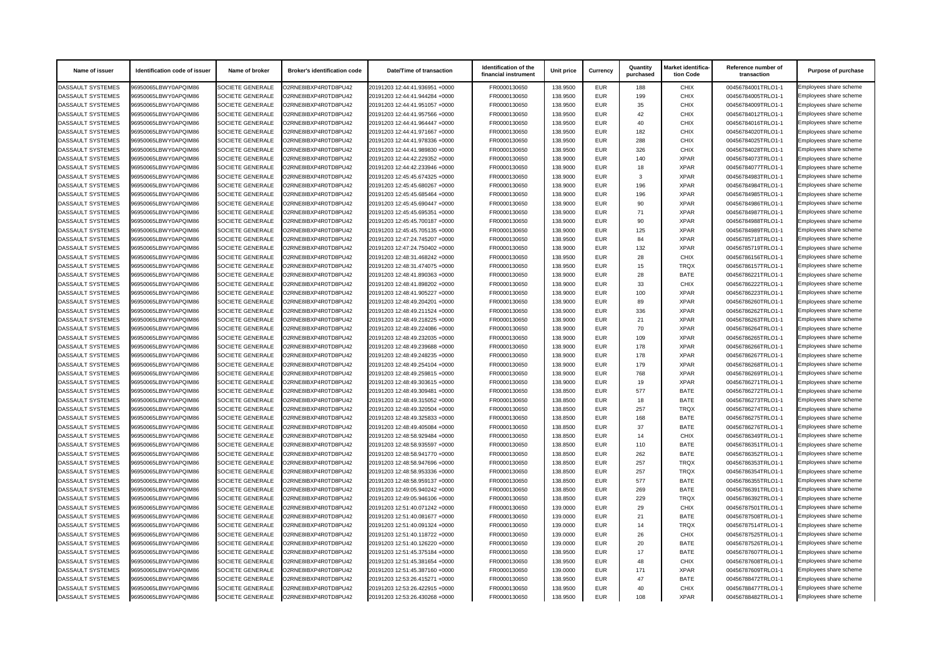| <b>Name of issuer</b>    | Identification code of issuer | Name of broker          | <b>Broker's identification code</b> | Date/Time of transaction       | Identification of the<br>financial instrument | Unit price | <b>Currency</b> | Quantity<br>purchased | Market identifica-<br>tion Code | Reference number of<br>transaction | <b>Purpose of purchase</b> |
|--------------------------|-------------------------------|-------------------------|-------------------------------------|--------------------------------|-----------------------------------------------|------------|-----------------|-----------------------|---------------------------------|------------------------------------|----------------------------|
| <b>DASSAULT SYSTEMES</b> | 96950065LBWY0APQIM86          | SOCIETE GENERALE        | O2RNE8IBXP4R0TD8PU42                | 20191203 12:44:41.936951 +0000 | FR0000130650                                  | 138.9500   | <b>EUR</b>      | 188                   | <b>CHIX</b>                     | 00456784001TRLO1-1                 | Employees share scheme     |
| DASSAULT SYSTEMES        | 96950065LBWY0APQIM86          | <b>SOCIETE GENERALE</b> | O2RNE8IBXP4R0TD8PU42                | 20191203 12:44:41.944284 +0000 | FR0000130650                                  | 138.9500   | <b>EUR</b>      | 199                   | <b>CHIX</b>                     | 00456784005TRLO1-1                 | Employees share scheme     |
| <b>DASSAULT SYSTEMES</b> | 96950065LBWY0APQIM86          | <b>SOCIETE GENERALE</b> | O2RNE8IBXP4R0TD8PU42                | 20191203 12:44:41.951057 +0000 | FR0000130650                                  | 138.9500   | <b>EUR</b>      | 35                    | <b>CHIX</b>                     | 00456784009TRLO1-1                 | Employees share scheme     |
| <b>DASSAULT SYSTEMES</b> | 96950065LBWY0APQIM86          | <b>SOCIETE GENERALE</b> | O2RNE8IBXP4R0TD8PU42                | 20191203 12:44:41.957566 +0000 | FR0000130650                                  | 138.9500   | <b>EUR</b>      | 42                    | <b>CHIX</b>                     | 00456784012TRLO1-1                 | Employees share scheme     |
| <b>DASSAULT SYSTEMES</b> | 96950065LBWY0APQIM86          | <b>SOCIETE GENERALE</b> | O2RNE8IBXP4R0TD8PU42                | 20191203 12:44:41.964447 +0000 | FR0000130650                                  | 138.9500   | <b>EUR</b>      | 40                    | <b>CHIX</b>                     | 00456784016TRLO1-1                 | Employees share scheme     |
| <b>DASSAULT SYSTEMES</b> | 96950065LBWY0APQIM86          | <b>SOCIETE GENERALE</b> | O2RNE8IBXP4R0TD8PU42                | 20191203 12:44:41.971667 +0000 | FR0000130650                                  | 138.9500   | <b>EUR</b>      | 182                   | <b>CHIX</b>                     | 00456784020TRLO1-1                 | Employees share scheme     |
| DASSAULT SYSTEMES        | 96950065LBWY0APQIM86          | <b>SOCIETE GENERALE</b> | O2RNE8IBXP4R0TD8PU42                | 20191203 12:44:41.978336 +0000 | FR0000130650                                  | 138.9500   | <b>EUR</b>      | 288                   | <b>CHIX</b>                     | 00456784025TRLO1-1                 | Employees share scheme     |
| DASSAULT SYSTEMES        | 96950065LBWY0APQIM86          | <b>SOCIETE GENERALE</b> | O2RNE8IBXP4R0TD8PU42                | 20191203 12:44:41.989830 +0000 | FR0000130650                                  | 138.9500   | <b>EUR</b>      | 326                   | <b>CHIX</b>                     | 00456784028TRLO1-1                 | Employees share scheme     |
| <b>DASSAULT SYSTEMES</b> | 96950065LBWY0APQIM86          | <b>SOCIETE GENERALE</b> | O2RNE8IBXP4R0TD8PU42                | 20191203 12:44:42.229352 +0000 | FR0000130650                                  | 138.9000   | <b>EUR</b>      | 140                   | <b>XPAR</b>                     | 00456784073TRLO1-1                 | Employees share scheme     |
| <b>DASSAULT SYSTEMES</b> | 96950065LBWY0APQIM86          | <b>SOCIETE GENERALE</b> | O2RNE8IBXP4R0TD8PU42                | 20191203 12:44:42.233946 +0000 | FR0000130650                                  | 138.9000   | <b>EUR</b>      | 18                    | <b>XPAR</b>                     | 00456784077TRLO1-1                 | Employees share scheme     |
| <b>DASSAULT SYSTEMES</b> | 96950065LBWY0APQIM86          | <b>SOCIETE GENERALE</b> | O2RNE8IBXP4R0TD8PU42                | 20191203 12:45:45.674325 +0000 | FR0000130650                                  | 138.9000   | <b>EUR</b>      | 3                     | <b>XPAR</b>                     | 00456784983TRLO1-1                 | Employees share scheme     |
| DASSAULT SYSTEMES        | 96950065LBWY0APQIM86          | <b>SOCIETE GENERALE</b> | O2RNE8IBXP4R0TD8PU42                | 20191203 12:45:45.680267 +0000 | FR0000130650                                  | 138.9000   | <b>EUR</b>      | 196                   | <b>XPAR</b>                     | 00456784984TRLO1-1                 | Employees share scheme     |
| <b>DASSAULT SYSTEMES</b> | 96950065LBWY0APQIM86          | <b>SOCIETE GENERALE</b> | O2RNE8IBXP4R0TD8PU42                | 20191203 12:45:45.685464 +0000 | FR0000130650                                  | 138.9000   | <b>EUR</b>      | 196                   | <b>XPAR</b>                     | 00456784985TRLO1-1                 | Employees share scheme     |
| DASSAULT SYSTEMES        | 96950065LBWY0APQIM86          | <b>SOCIETE GENERALE</b> | O2RNE8IBXP4R0TD8PU42                | 20191203 12:45:45.690447 +0000 | FR0000130650                                  | 138.9000   | <b>EUR</b>      | 90                    | <b>XPAR</b>                     | 00456784986TRLO1-1                 | Employees share scheme     |
| <b>DASSAULT SYSTEMES</b> | 96950065LBWY0APQIM86          | <b>SOCIETE GENERALE</b> | O2RNE8IBXP4R0TD8PU42                | 20191203 12:45:45.695351 +0000 | FR0000130650                                  | 138.9000   | <b>EUR</b>      | 71                    | <b>XPAR</b>                     | 00456784987TRLO1-1                 | Employees share scheme     |
| <b>DASSAULT SYSTEMES</b> | 96950065LBWY0APQIM86          | <b>SOCIETE GENERALE</b> | O2RNE8IBXP4R0TD8PU42                | 20191203 12:45:45.700187 +0000 | FR0000130650                                  | 138.9000   | <b>EUR</b>      | 90                    | <b>XPAR</b>                     | 00456784988TRLO1-1                 | Employees share scheme     |
| DASSAULT SYSTEMES        | 96950065LBWY0APQIM86          | <b>SOCIETE GENERALE</b> | O2RNE8IBXP4R0TD8PU42                | 20191203 12:45:45.705135 +0000 | FR0000130650                                  | 138.9000   | <b>EUR</b>      | 125                   | <b>XPAR</b>                     | 00456784989TRLO1-1                 | Employees share scheme     |
| <b>DASSAULT SYSTEMES</b> | 96950065LBWY0APQIM86          | <b>SOCIETE GENERALE</b> | O2RNE8IBXP4R0TD8PU42                | 20191203 12:47:24.745207 +0000 | FR0000130650                                  | 138.9500   | <b>EUR</b>      | 84                    | <b>XPAR</b>                     | 00456785718TRLO1-1                 | Employees share scheme     |
| DASSAULT SYSTEMES        | 96950065LBWY0APQIM86          | <b>SOCIETE GENERALE</b> | O2RNE8IBXP4R0TD8PU42                | 20191203 12:47:24.750402 +0000 | FR0000130650                                  | 138.9000   | <b>EUR</b>      | 132                   | <b>XPAR</b>                     | 00456785719TRLO1-1                 | Employees share scheme     |
| DASSAULT SYSTEMES        | 96950065LBWY0APQIM86          | <b>SOCIETE GENERALE</b> | O2RNE8IBXP4R0TD8PU42                | 20191203 12:48:31.468242 +0000 | FR0000130650                                  | 138.9500   | <b>EUR</b>      | 28                    | <b>CHIX</b>                     | 00456786156TRLO1-1                 | Employees share scheme     |
| <b>DASSAULT SYSTEMES</b> | 96950065LBWY0APQIM86          | <b>SOCIETE GENERALE</b> | O2RNE8IBXP4R0TD8PU42                | 20191203 12:48:31.474075 +0000 | FR0000130650                                  | 138.9500   | <b>EUR</b>      | 15                    | <b>TRQX</b>                     | 00456786157TRLO1-1                 | Employees share scheme     |
| DASSAULT SYSTEMES        | 96950065LBWY0APQIM86          | <b>SOCIETE GENERALE</b> | O2RNE8IBXP4R0TD8PU42                | 20191203 12:48:41.890363 +0000 | FR0000130650                                  | 138.9000   | <b>EUR</b>      | 28                    | <b>BATE</b>                     | 00456786221TRLO1-1                 | Employees share scheme     |
| <b>DASSAULT SYSTEMES</b> | 96950065LBWY0APQIM86          | <b>SOCIETE GENERALE</b> | O2RNE8IBXP4R0TD8PU42                | 20191203 12:48:41.898202 +0000 | FR0000130650                                  | 138.9000   | <b>EUR</b>      | 33                    | <b>CHIX</b>                     | 00456786222TRLO1-1                 | Employees share scheme     |
| DASSAULT SYSTEMES        | 96950065LBWY0APQIM86          | <b>SOCIETE GENERALE</b> | O2RNE8IBXP4R0TD8PU42                | 20191203 12:48:41.905227 +0000 | FR0000130650                                  | 138.9000   | <b>EUR</b>      | 100                   | <b>XPAR</b>                     | 00456786223TRLO1-1                 | Employees share scheme     |
| DASSAULT SYSTEMES        | 96950065LBWY0APQIM86          | <b>SOCIETE GENERALE</b> | O2RNE8IBXP4R0TD8PU42                | 20191203 12:48:49.204201 +0000 | FR0000130650                                  | 138.9000   | <b>EUR</b>      | 89                    | <b>XPAR</b>                     | 00456786260TRLO1-1                 | Employees share scheme     |
| DASSAULT SYSTEMES        | 96950065LBWY0APQIM86          | <b>SOCIETE GENERALE</b> | O2RNE8IBXP4R0TD8PU42                | 20191203 12:48:49.211524 +0000 | FR0000130650                                  | 138.9000   | <b>EUR</b>      | 336                   | <b>XPAR</b>                     | 00456786262TRLO1-1                 | Employees share scheme     |
| <b>DASSAULT SYSTEMES</b> | 96950065LBWY0APQIM86          | <b>SOCIETE GENERALE</b> | O2RNE8IBXP4R0TD8PU42                | 20191203 12:48:49.218225 +0000 | FR0000130650                                  | 138.9000   | <b>EUR</b>      | 21                    | <b>XPAR</b>                     | 00456786263TRLO1-1                 | Employees share scheme     |
| <b>DASSAULT SYSTEMES</b> | 96950065LBWY0APQIM86          | <b>SOCIETE GENERALE</b> | O2RNE8IBXP4R0TD8PU42                | 20191203 12:48:49.224086 +0000 | FR0000130650                                  | 138.9000   | <b>EUR</b>      | 70                    | <b>XPAR</b>                     | 00456786264TRLO1-1                 | Employees share scheme     |
| DASSAULT SYSTEMES        | 96950065LBWY0APQIM86          | SOCIETE GENERALE        | O2RNE8IBXP4R0TD8PU42                | 20191203 12:48:49.232035 +0000 | FR0000130650                                  | 138.9000   | <b>EUR</b>      | 109                   | <b>XPAR</b>                     | 00456786265TRLO1-1                 | Employees share scheme     |
| <b>DASSAULT SYSTEMES</b> | 96950065LBWY0APQIM86          | <b>SOCIETE GENERALE</b> | O2RNE8IBXP4R0TD8PU42                | 20191203 12:48:49.239688 +0000 | FR0000130650                                  | 138.9000   | <b>EUR</b>      | 178                   | <b>XPAR</b>                     | 00456786266TRLO1-1                 | Employees share scheme     |
| <b>DASSAULT SYSTEMES</b> | 96950065LBWY0APQIM86          | <b>SOCIETE GENERALE</b> | O2RNE8IBXP4R0TD8PU42                | 20191203 12:48:49.248235 +0000 | FR0000130650                                  | 138.9000   | <b>EUR</b>      | 178                   | <b>XPAR</b>                     | 00456786267TRLO1-1                 | Employees share scheme     |
| <b>DASSAULT SYSTEMES</b> | 96950065LBWY0APQIM86          | <b>SOCIETE GENERALE</b> | O2RNE8IBXP4R0TD8PU42                | 20191203 12:48:49.254104 +0000 | FR0000130650                                  | 138.9000   | <b>EUR</b>      | 179                   | <b>XPAR</b>                     | 00456786268TRLO1-1                 | Employees share scheme     |
| <b>DASSAULT SYSTEMES</b> | 96950065LBWY0APQIM86          | <b>SOCIETE GENERALE</b> | O2RNE8IBXP4R0TD8PU42                | 20191203 12:48:49.259815 +0000 | FR0000130650                                  | 138.9000   | <b>EUR</b>      | 768                   | <b>XPAR</b>                     | 00456786269TRLO1-1                 | Employees share scheme     |
| DASSAULT SYSTEMES        | 96950065LBWY0APQIM86          | <b>SOCIETE GENERALE</b> | O2RNE8IBXP4R0TD8PU42                | 20191203 12:48:49.303615 +0000 | FR0000130650                                  | 138.9000   | <b>EUR</b>      | 19                    | <b>XPAR</b>                     | 00456786271TRLO1-1                 | Employees share scheme     |
| DASSAULT SYSTEMES        | 96950065LBWY0APQIM86          | <b>SOCIETE GENERALE</b> | O2RNE8IBXP4R0TD8PU42                | 20191203 12:48:49.309481 +0000 | FR0000130650                                  | 138.8500   | <b>EUR</b>      | 577                   | <b>BATE</b>                     | 00456786272TRLO1-1                 | Employees share scheme     |
| <b>DASSAULT SYSTEMES</b> | 96950065LBWY0APQIM86          | <b>SOCIETE GENERALE</b> | O2RNE8IBXP4R0TD8PU42                | 20191203 12:48:49.315052 +0000 | FR0000130650                                  | 138.8500   | <b>EUR</b>      | 18                    | <b>BATE</b>                     | 00456786273TRLO1-1                 | Employees share scheme     |
| <b>DASSAULT SYSTEMES</b> | 96950065LBWY0APQIM86          | <b>SOCIETE GENERALE</b> | O2RNE8IBXP4R0TD8PU42                | 20191203 12:48:49.320504 +0000 | FR0000130650                                  | 138.8500   | <b>EUR</b>      | 257                   | <b>TRQX</b>                     | 00456786274TRLO1-1                 | Employees share scheme     |
| <b>DASSAULT SYSTEMES</b> | 96950065LBWY0APQIM86          | <b>SOCIETE GENERALE</b> | O2RNE8IBXP4R0TD8PU42                | 20191203 12:48:49.325833 +0000 | FR0000130650                                  | 138.8500   | <b>EUR</b>      | 168                   | <b>BATE</b>                     | 00456786275TRLO1-1                 | Employees share scheme     |
| DASSAULT SYSTEMES        | 96950065LBWY0APQIM86          | <b>SOCIETE GENERALE</b> | O2RNE8IBXP4R0TD8PU42                | 20191203 12:48:49.405084 +0000 | FR0000130650                                  | 138.8500   | <b>EUR</b>      | 37                    | <b>BATE</b>                     | 00456786276TRLO1-1                 | Employees share scheme     |
| DASSAULT SYSTEMES        | 96950065LBWY0APQIM86          | <b>SOCIETE GENERALE</b> | O2RNE8IBXP4R0TD8PU42                | 20191203 12:48:58.929484 +0000 | FR0000130650                                  | 138.8500   | EUR             | 14                    | <b>CHIX</b>                     | 00456786349TRLO1-1                 | Employees share scheme     |
| <b>DASSAULT SYSTEMES</b> | 96950065LBWY0APQIM86          | <b>SOCIETE GENERALE</b> | O2RNE8IBXP4R0TD8PU42                | 20191203 12:48:58.935597 +0000 | FR0000130650                                  | 138.8500   | <b>EUR</b>      | 110                   | <b>BATE</b>                     | 00456786351TRLO1-1                 | Employees share scheme     |
| <b>DASSAULT SYSTEMES</b> | 96950065LBWY0APQIM86          | <b>SOCIETE GENERALE</b> | O2RNE8IBXP4R0TD8PU42                | 20191203 12:48:58.941770 +0000 | FR0000130650                                  | 138.8500   | <b>EUR</b>      | 262                   | <b>BATE</b>                     | 00456786352TRLO1-1                 | Employees share scheme     |
| DASSAULT SYSTEMES        | 96950065LBWY0APQIM86          | <b>SOCIETE GENERALE</b> | O2RNE8IBXP4R0TD8PU42                | 20191203 12:48:58.947696 +0000 | FR0000130650                                  | 138.8500   | <b>EUR</b>      | 257                   | <b>TRQX</b>                     | 00456786353TRLO1-1                 | Employees share scheme     |
| <b>DASSAULT SYSTEMES</b> | 96950065LBWY0APQIM86          | <b>SOCIETE GENERALE</b> | O2RNE8IBXP4R0TD8PU42                | 20191203 12:48:58.953336 +0000 | FR0000130650                                  | 138.8500   | <b>EUR</b>      | 257                   | <b>TRQX</b>                     | 00456786354TRLO1-1                 | Employees share scheme     |
| DASSAULT SYSTEMES        | 96950065LBWY0APQIM86          | <b>SOCIETE GENERALE</b> | O2RNE8IBXP4R0TD8PU42                | 20191203 12:48:58.959137 +0000 | FR0000130650                                  | 138.8500   | <b>EUR</b>      | 577                   | <b>BATE</b>                     | 00456786355TRLO1-1                 | Employees share scheme     |
| <b>DASSAULT SYSTEMES</b> | 96950065LBWY0APQIM86          | <b>SOCIETE GENERALE</b> | O2RNE8IBXP4R0TD8PU42                | 20191203 12:49:05.940242 +0000 | FR0000130650                                  | 138.8500   | <b>EUR</b>      | 269                   | <b>BATE</b>                     | 00456786391TRLO1-1                 | Employees share scheme     |
| <b>DASSAULT SYSTEMES</b> | 96950065LBWY0APQIM86          | <b>SOCIETE GENERALE</b> | O2RNE8IBXP4R0TD8PU42                | 20191203 12:49:05.946106 +0000 | FR0000130650                                  | 138.8500   | <b>EUR</b>      | 229                   | <b>TRQX</b>                     | 00456786392TRLO1-1                 | Employees share scheme     |
| DASSAULT SYSTEMES        | 96950065LBWY0APQIM86          | <b>SOCIETE GENERALE</b> | O2RNE8IBXP4R0TD8PU42                | 20191203 12:51:40.071242 +0000 | FR0000130650                                  | 139.0000   | <b>EUR</b>      | 29                    | <b>CHIX</b>                     | 00456787501TRLO1-1                 | Employees share scheme     |
| <b>DASSAULT SYSTEMES</b> | 96950065LBWY0APQIM86          | <b>SOCIETE GENERALE</b> | O2RNE8IBXP4R0TD8PU42                | 20191203 12:51:40.081677 +0000 | FR0000130650                                  | 139.0000   | <b>EUR</b>      | 21                    | <b>BATE</b>                     | 00456787508TRLO1-1                 | Employees share scheme     |
| DASSAULT SYSTEMES        | 96950065LBWY0APQIM86          | <b>SOCIETE GENERALE</b> | O2RNE8IBXP4R0TD8PU42                | 20191203 12:51:40.091324 +0000 | FR0000130650                                  | 139.0000   | <b>EUR</b>      | 14                    | <b>TRQX</b>                     | 00456787514TRLO1-1                 | Employees share scheme     |
| <b>DASSAULT SYSTEMES</b> | 96950065LBWY0APQIM86          | <b>SOCIETE GENERALE</b> | O2RNE8IBXP4R0TD8PU42                | 20191203 12:51:40.118722 +0000 | FR0000130650                                  | 139.0000   | <b>EUR</b>      | 26                    | <b>CHIX</b>                     | 00456787525TRLO1-1                 | Employees share scheme     |
| <b>DASSAULT SYSTEMES</b> | 96950065LBWY0APQIM86          | <b>SOCIETE GENERALE</b> | O2RNE8IBXP4R0TD8PU42                | 20191203 12:51:40.126220 +0000 | FR0000130650                                  | 139.0000   | <b>EUR</b>      | 20                    | <b>BATE</b>                     | 00456787526TRLO1-1                 | Employees share scheme     |
| DASSAULT SYSTEMES        | 96950065LBWY0APQIM86          | SOCIETE GENERALE        | O2RNE8IBXP4R0TD8PU42                | 20191203 12:51:45.375184 +0000 | FR0000130650                                  | 138.9500   | <b>EUR</b>      | 17                    | <b>BATE</b>                     | 00456787607TRLO1-1                 | Employees share scheme     |
| <b>DASSAULT SYSTEMES</b> | 96950065LBWY0APQIM86          | <b>SOCIETE GENERALE</b> | O2RNE8IBXP4R0TD8PU42                | 20191203 12:51:45.381654 +0000 | FR0000130650                                  | 138.9500   | <b>EUR</b>      | 48                    | <b>CHIX</b>                     | 00456787608TRLO1-1                 | Employees share scheme     |
| DASSAULT SYSTEMES        | 96950065LBWY0APQIM86          | <b>SOCIETE GENERALE</b> | O2RNE8IBXP4R0TD8PU42                | 20191203 12:51:45.387160 +0000 | FR0000130650                                  | 139.0000   | <b>EUR</b>      | 171                   | <b>XPAR</b>                     | 00456787609TRLO1-1                 | Employees share scheme     |
| <b>DASSAULT SYSTEMES</b> | 96950065LBWY0APQIM86          | <b>SOCIETE GENERALE</b> | O2RNE8IBXP4R0TD8PU42                | 20191203 12:53:26.415271 +0000 | FR0000130650                                  | 138.9500   | <b>EUR</b>      | 47                    | <b>BATE</b>                     | 00456788472TRLO1-1                 | Employees share scheme     |
| <b>DASSAULT SYSTEMES</b> | 96950065LBWY0APQIM86          | <b>SOCIETE GENERALE</b> | O2RNE8IBXP4R0TD8PU42                | 20191203 12:53:26.422915 +0000 | FR0000130650                                  | 138.9500   | <b>EUR</b>      | 40                    | <b>CHIX</b>                     | 00456788477TRLO1-1                 | Employees share scheme     |
| DASSAULT SYSTEMES        | 96950065LBWY0APQIM86          | <b>SOCIETE GENERALE</b> | O2RNE8IBXP4R0TD8PU42                | 20191203 12:53:26.430268 +0000 | FR0000130650                                  | 138.9500   | EUR             | 108                   | <b>XPAR</b>                     | 00456788482TRLO1-1                 | Employees share scheme     |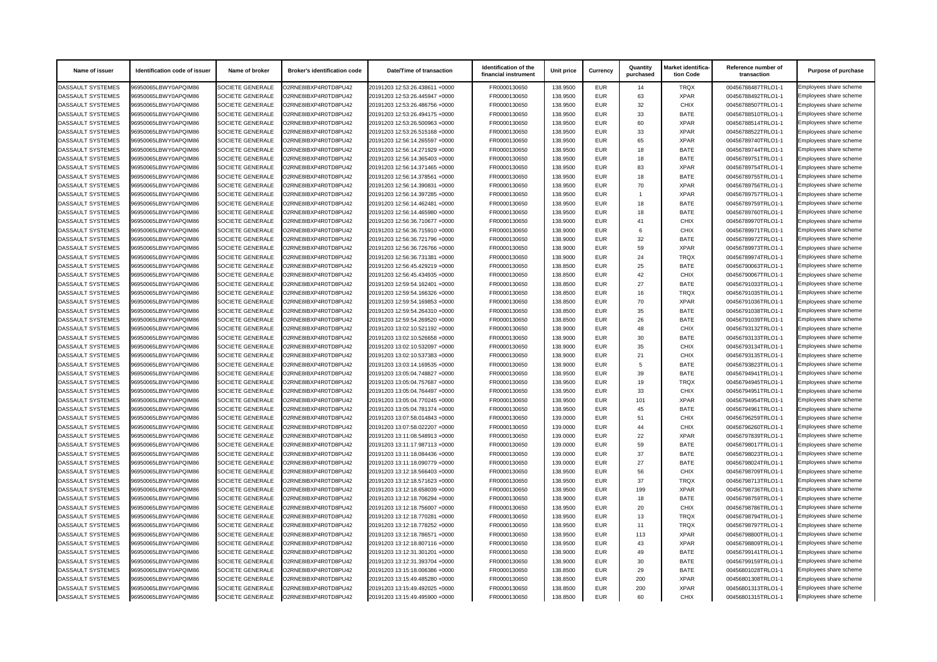| <b>Name of issuer</b>    | Identification code of issuer | Name of broker          | <b>Broker's identification code</b> | Date/Time of transaction       | Identification of the<br>financial instrument | Unit price | <b>Currency</b> | Quantity<br>purchased | Market identifica-<br>tion Code | Reference number of<br>transaction | <b>Purpose of purchase</b> |
|--------------------------|-------------------------------|-------------------------|-------------------------------------|--------------------------------|-----------------------------------------------|------------|-----------------|-----------------------|---------------------------------|------------------------------------|----------------------------|
| <b>DASSAULT SYSTEMES</b> | 96950065LBWY0APQIM86          | SOCIETE GENERALE        | O2RNE8IBXP4R0TD8PU42                | 20191203 12:53:26.438611 +0000 | FR0000130650                                  | 138.9500   | <b>EUR</b>      | 14                    | <b>TRQX</b>                     | 00456788487TRLO1-1                 | Employees share scheme     |
| DASSAULT SYSTEMES        | 96950065LBWY0APQIM86          | <b>SOCIETE GENERALE</b> | O2RNE8IBXP4R0TD8PU42                | 20191203 12:53:26.445947 +0000 | FR0000130650                                  | 138.9500   | <b>EUR</b>      | 63                    | <b>XPAR</b>                     | 00456788492TRLO1-1                 | Employees share scheme     |
| <b>DASSAULT SYSTEMES</b> | 96950065LBWY0APQIM86          | <b>SOCIETE GENERALE</b> | O2RNE8IBXP4R0TD8PU42                | 20191203 12:53:26.486756 +0000 | FR0000130650                                  | 138.9500   | <b>EUR</b>      | 32                    | <b>CHIX</b>                     | 00456788507TRLO1-1                 | Employees share scheme     |
| <b>DASSAULT SYSTEMES</b> | 96950065LBWY0APQIM86          | <b>SOCIETE GENERALE</b> | O2RNE8IBXP4R0TD8PU42                | 20191203 12:53:26.494175 +0000 | FR0000130650                                  | 138.9500   | <b>EUR</b>      | 33                    | <b>BATE</b>                     | 00456788510TRLO1-1                 | Employees share scheme     |
| <b>DASSAULT SYSTEMES</b> | 96950065LBWY0APQIM86          | <b>SOCIETE GENERALE</b> | O2RNE8IBXP4R0TD8PU42                | 20191203 12:53:26.500963 +0000 | FR0000130650                                  | 138.9500   | <b>EUR</b>      | 60                    | <b>XPAR</b>                     | 00456788514TRLO1-1                 | Employees share scheme     |
| <b>DASSAULT SYSTEMES</b> | 96950065LBWY0APQIM86          | <b>SOCIETE GENERALE</b> | O2RNE8IBXP4R0TD8PU42                | 20191203 12:53:26.515168 +0000 | FR0000130650                                  | 138.9500   | <b>EUR</b>      | 33                    | <b>XPAR</b>                     | 00456788522TRLO1-1                 | Employees share scheme     |
| DASSAULT SYSTEMES        | 96950065LBWY0APQIM86          | <b>SOCIETE GENERALE</b> | O2RNE8IBXP4R0TD8PU42                | 20191203 12:56:14.265597 +0000 | FR0000130650                                  | 138.9500   | <b>EUR</b>      | 65                    | <b>XPAR</b>                     | 00456789740TRLO1-1                 | Employees share scheme     |
| <b>DASSAULT SYSTEMES</b> | 96950065LBWY0APQIM86          | <b>SOCIETE GENERALE</b> | O2RNE8IBXP4R0TD8PU42                | 20191203 12:56:14.271929 +0000 | FR0000130650                                  | 138.9500   | <b>EUR</b>      | 18                    | <b>BATE</b>                     | 00456789744TRLO1-1                 | Employees share scheme     |
| DASSAULT SYSTEMES        | 96950065LBWY0APQIM86          | <b>SOCIETE GENERALE</b> | O2RNE8IBXP4R0TD8PU42                | 20191203 12:56:14.365403 +0000 | FR0000130650                                  | 138.9500   | <b>EUR</b>      | 18                    | <b>BATE</b>                     | 00456789751TRLO1-1                 | Employees share scheme     |
| <b>DASSAULT SYSTEMES</b> | 96950065LBWY0APQIM86          | <b>SOCIETE GENERALE</b> | O2RNE8IBXP4R0TD8PU42                | 20191203 12:56:14.371465 +0000 | FR0000130650                                  | 138.9500   | <b>EUR</b>      | 83                    | <b>XPAR</b>                     | 00456789754TRLO1-1                 | Employees share scheme     |
| <b>DASSAULT SYSTEMES</b> | 96950065LBWY0APQIM86          | <b>SOCIETE GENERALE</b> | O2RNE8IBXP4R0TD8PU42                | 20191203 12:56:14.378561 +0000 | FR0000130650                                  | 138.9500   | <b>EUR</b>      | 18                    | <b>BATE</b>                     | 00456789755TRLO1-1                 | Employees share scheme     |
| DASSAULT SYSTEMES        | 96950065LBWY0APQIM86          | <b>SOCIETE GENERALE</b> | O2RNE8IBXP4R0TD8PU42                | 20191203 12:56:14.390831 +0000 | FR0000130650                                  | 138.9500   | <b>EUR</b>      | 70                    | <b>XPAR</b>                     | 00456789756TRLO1-1                 | Employees share scheme     |
| <b>DASSAULT SYSTEMES</b> | 96950065LBWY0APQIM86          | <b>SOCIETE GENERALE</b> | O2RNE8IBXP4R0TD8PU42                | 20191203 12:56:14.397285 +0000 | FR0000130650                                  | 138.9500   | <b>EUR</b>      |                       | <b>XPAR</b>                     | 00456789757TRLO1-1                 | Employees share scheme     |
| DASSAULT SYSTEMES        | 96950065LBWY0APQIM86          | <b>SOCIETE GENERALE</b> | O2RNE8IBXP4R0TD8PU42                | 20191203 12:56:14.462481 +0000 | FR0000130650                                  | 138.9500   | <b>EUR</b>      | 18                    | <b>BATE</b>                     | 00456789759TRLO1-1                 | Employees share scheme     |
| <b>DASSAULT SYSTEMES</b> | 96950065LBWY0APQIM86          | <b>SOCIETE GENERALE</b> | O2RNE8IBXP4R0TD8PU42                | 20191203 12:56:14.465980 +0000 | FR0000130650                                  | 138.9500   | <b>EUR</b>      | 18                    | <b>BATE</b>                     | 00456789760TRLO1-1                 | Employees share scheme     |
| <b>DASSAULT SYSTEMES</b> | 96950065LBWY0APQIM86          | <b>SOCIETE GENERALE</b> | O2RNE8IBXP4R0TD8PU42                | 20191203 12:56:36.710677 +0000 | FR0000130650                                  | 138.9000   | <b>EUR</b>      | 41                    | <b>CHIX</b>                     | 00456789970TRLO1-1                 | Employees share scheme     |
| <b>DASSAULT SYSTEMES</b> | 96950065LBWY0APQIM86          | <b>SOCIETE GENERALE</b> | O2RNE8IBXP4R0TD8PU42                | 20191203 12:56:36.715910 +0000 | FR0000130650                                  | 138.9000   | <b>EUR</b>      |                       | <b>CHIX</b>                     | 00456789971TRLO1-1                 | Employees share scheme     |
| <b>DASSAULT SYSTEMES</b> | 96950065LBWY0APQIM86          | <b>SOCIETE GENERALE</b> | O2RNE8IBXP4R0TD8PU42                | 20191203 12:56:36.721796 +0000 | FR0000130650                                  | 138.9000   | <b>EUR</b>      | 32                    | <b>BATE</b>                     | 00456789972TRLO1-1                 | Employees share scheme     |
| DASSAULT SYSTEMES        | 96950065LBWY0APQIM86          | <b>SOCIETE GENERALE</b> | O2RNE8IBXP4R0TD8PU42                | 20191203 12:56:36.726766 +0000 | FR0000130650                                  | 138.9000   | <b>EUR</b>      | 59                    | <b>XPAR</b>                     | 00456789973TRLO1-1                 | Employees share scheme     |
| DASSAULT SYSTEMES        | 96950065LBWY0APQIM86          | <b>SOCIETE GENERALE</b> | O2RNE8IBXP4R0TD8PU42                | 20191203 12:56:36.731381 +0000 | FR0000130650                                  | 138.9000   | <b>EUR</b>      | 24                    | <b>TRQX</b>                     | 00456789974TRLO1-1                 | Employees share scheme     |
| <b>DASSAULT SYSTEMES</b> | 96950065LBWY0APQIM86          | <b>SOCIETE GENERALE</b> | O2RNE8IBXP4R0TD8PU42                | 20191203 12:56:45.429219 +0000 | FR0000130650                                  | 138.8500   | <b>EUR</b>      | 25                    | <b>BATE</b>                     | 00456790063TRLO1-1                 | Employees share scheme     |
| DASSAULT SYSTEMES        | 96950065LBWY0APQIM86          | <b>SOCIETE GENERALE</b> | O2RNE8IBXP4R0TD8PU42                | 20191203 12:56:45.434935 +0000 | FR0000130650                                  | 138.8500   | <b>EUR</b>      | 42                    | <b>CHIX</b>                     | 00456790067TRLO1-1                 | Employees share scheme     |
| <b>DASSAULT SYSTEMES</b> | 96950065LBWY0APQIM86          | <b>SOCIETE GENERALE</b> | O2RNE8IBXP4R0TD8PU42                | 20191203 12:59:54.162401 +0000 | FR0000130650                                  | 138.8500   | <b>EUR</b>      | 27                    | <b>BATE</b>                     | 00456791033TRLO1-1                 | Employees share scheme     |
| DASSAULT SYSTEMES        | 96950065LBWY0APQIM86          | <b>SOCIETE GENERALE</b> | O2RNE8IBXP4R0TD8PU42                | 20191203 12:59:54.166326 +0000 | FR0000130650                                  | 138.8500   | <b>EUR</b>      | 16                    | <b>TRQX</b>                     | 00456791035TRLO1-1                 | Employees share scheme     |
| DASSAULT SYSTEMES        | 96950065LBWY0APQIM86          | <b>SOCIETE GENERALE</b> | O2RNE8IBXP4R0TD8PU42                | 20191203 12:59:54.169853 +0000 | FR0000130650                                  | 138.8500   | <b>EUR</b>      | 70                    | <b>XPAR</b>                     | 00456791036TRLO1-1                 | Employees share scheme     |
| DASSAULT SYSTEMES        | 96950065LBWY0APQIM86          | <b>SOCIETE GENERALE</b> | O2RNE8IBXP4R0TD8PU42                | 20191203 12:59:54.264310 +0000 | FR0000130650                                  | 138.8500   | <b>EUR</b>      | 35                    | <b>BATE</b>                     | 00456791038TRLO1-1                 | Employees share scheme     |
| <b>DASSAULT SYSTEMES</b> | 96950065LBWY0APQIM86          | <b>SOCIETE GENERALE</b> | O2RNE8IBXP4R0TD8PU42                | 20191203 12:59:54.269520 +0000 | FR0000130650                                  | 138.8500   | <b>EUR</b>      | 26                    | <b>BATE</b>                     | 00456791039TRLO1-1                 | Employees share scheme     |
| <b>DASSAULT SYSTEMES</b> | 96950065LBWY0APQIM86          | <b>SOCIETE GENERALE</b> | O2RNE8IBXP4R0TD8PU42                | 20191203 13:02:10.521192 +0000 | FR0000130650                                  | 138.9000   | <b>EUR</b>      | 48                    | <b>CHIX</b>                     | 00456793132TRLO1-1                 | Employees share scheme     |
| DASSAULT SYSTEMES        | 96950065LBWY0APQIM86          | SOCIETE GENERALE        | O2RNE8IBXP4R0TD8PU42                | 20191203 13:02:10.526658 +0000 | FR0000130650                                  | 138.9000   | <b>EUR</b>      | 30                    | <b>BATE</b>                     | 00456793133TRLO1-1                 | Employees share scheme     |
| DASSAULT SYSTEMES        | 96950065LBWY0APQIM86          | <b>SOCIETE GENERALE</b> | O2RNE8IBXP4R0TD8PU42                | 20191203 13:02:10.532097 +0000 | FR0000130650                                  | 138.9000   | <b>EUR</b>      | 35                    | <b>CHIX</b>                     | 00456793134TRLO1-1                 | Employees share scheme     |
| <b>DASSAULT SYSTEMES</b> | 96950065LBWY0APQIM86          | <b>SOCIETE GENERALE</b> | O2RNE8IBXP4R0TD8PU42                | 20191203 13:02:10.537383 +0000 | FR0000130650                                  | 138.9000   | <b>EUR</b>      | 21                    | <b>CHIX</b>                     | 00456793135TRLO1-1                 | Employees share scheme     |
| <b>DASSAULT SYSTEMES</b> | 96950065LBWY0APQIM86          | <b>SOCIETE GENERALE</b> | O2RNE8IBXP4R0TD8PU42                | 20191203 13:03:14.169535 +0000 | FR0000130650                                  | 138.9000   | <b>EUR</b>      |                       | <b>BATE</b>                     | 00456793823TRLO1-1                 | Employees share scheme     |
| <b>DASSAULT SYSTEMES</b> | 96950065LBWY0APQIM86          | <b>SOCIETE GENERALE</b> | O2RNE8IBXP4R0TD8PU42                | 20191203 13:05:04.748827 +0000 | FR0000130650                                  | 138.9500   | <b>EUR</b>      | 39                    | <b>BATE</b>                     | 00456794941TRLO1-1                 | Employees share scheme     |
| DASSAULT SYSTEMES        | 96950065LBWY0APQIM86          | <b>SOCIETE GENERALE</b> | O2RNE8IBXP4R0TD8PU42                | 20191203 13:05:04.757687 +0000 | FR0000130650                                  | 138.9500   | <b>EUR</b>      | 19                    | <b>TRQX</b>                     | 00456794945TRLO1-1                 | Employees share scheme     |
| DASSAULT SYSTEMES        | 96950065LBWY0APQIM86          | <b>SOCIETE GENERALE</b> | O2RNE8IBXP4R0TD8PU42                | 20191203 13:05:04.764497 +0000 | FR0000130650                                  | 138.9500   | <b>EUR</b>      | 33                    | <b>CHIX</b>                     | 00456794951TRLO1-1                 | Employees share scheme     |
| <b>DASSAULT SYSTEMES</b> | 96950065LBWY0APQIM86          | <b>SOCIETE GENERALE</b> | O2RNE8IBXP4R0TD8PU42                | 20191203 13:05:04.770245 +0000 | FR0000130650                                  | 138.9500   | <b>EUR</b>      | 101                   | <b>XPAR</b>                     | 00456794954TRLO1-1                 | Employees share scheme     |
| <b>DASSAULT SYSTEMES</b> | 96950065LBWY0APQIM86          | <b>SOCIETE GENERALE</b> | O2RNE8IBXP4R0TD8PU42                | 20191203 13:05:04.781374 +0000 | FR0000130650                                  | 138.9500   | <b>EUR</b>      | 45                    | <b>BATE</b>                     | 00456794961TRLO1-1                 | Employees share scheme     |
| <b>DASSAULT SYSTEMES</b> | 96950065LBWY0APQIM86          | <b>SOCIETE GENERALE</b> | O2RNE8IBXP4R0TD8PU42                | 20191203 13:07:58.014843 +0000 | FR0000130650                                  | 139.0000   | <b>EUR</b>      | 51                    | <b>CHIX</b>                     | 00456796259TRLO1-1                 | Employees share scheme     |
| DASSAULT SYSTEMES        | 96950065LBWY0APQIM86          | <b>SOCIETE GENERALE</b> | O2RNE8IBXP4R0TD8PU42                | 20191203 13:07:58.022207 +0000 | FR0000130650                                  | 139.0000   | <b>EUR</b>      | 44                    | <b>CHIX</b>                     | 00456796260TRLO1-1                 | Employees share scheme     |
| DASSAULT SYSTEMES        | 96950065LBWY0APQIM86          | <b>SOCIETE GENERALE</b> | O2RNE8IBXP4R0TD8PU42                | 20191203 13:11:08.548913 +0000 | FR0000130650                                  | 139.0000   | EUR             | 22                    | <b>XPAR</b>                     | 00456797839TRLO1-1                 | Employees share scheme     |
| <b>DASSAULT SYSTEMES</b> | 96950065LBWY0APQIM86          | <b>SOCIETE GENERALE</b> | O2RNE8IBXP4R0TD8PU42                | 20191203 13:11:17.987113 +0000 | FR0000130650                                  | 139.0000   | <b>EUR</b>      | 59                    | <b>BATE</b>                     | 00456798017TRLO1-1                 | Employees share scheme     |
| <b>DASSAULT SYSTEMES</b> | 96950065LBWY0APQIM86          | <b>SOCIETE GENERALE</b> | O2RNE8IBXP4R0TD8PU42                | 20191203 13:11:18.084436 +0000 | FR0000130650                                  | 139.0000   | <b>EUR</b>      | 37                    | <b>BATE</b>                     | 00456798023TRLO1-1                 | Employees share scheme     |
| DASSAULT SYSTEMES        | 96950065LBWY0APQIM86          | SOCIETE GENERALE        | O2RNE8IBXP4R0TD8PU42                | 20191203 13:11:18.090779 +0000 | FR0000130650                                  | 139.0000   | <b>EUR</b>      | 27                    | <b>BATE</b>                     | 00456798024TRLO1-1                 | Employees share scheme     |
| <b>DASSAULT SYSTEMES</b> | 96950065LBWY0APQIM86          | <b>SOCIETE GENERALE</b> | O2RNE8IBXP4R0TD8PU42                | 20191203 13:12:18.566403 +0000 | FR0000130650                                  | 138.9500   | <b>EUR</b>      | 56                    | <b>CHIX</b>                     | 00456798709TRLO1-1                 | Employees share scheme     |
| DASSAULT SYSTEMES        | 96950065LBWY0APQIM86          | <b>SOCIETE GENERALE</b> | O2RNE8IBXP4R0TD8PU42                | 20191203 13:12:18.571623 +0000 | FR0000130650                                  | 138.9500   | <b>EUR</b>      | 37                    | <b>TRQX</b>                     | 00456798713TRLO1-1                 | Employees share scheme     |
| <b>DASSAULT SYSTEMES</b> | 96950065LBWY0APQIM86          | <b>SOCIETE GENERALE</b> | O2RNE8IBXP4R0TD8PU42                | 20191203 13:12:18.658039 +0000 | FR0000130650                                  | 138.9500   | <b>EUR</b>      | 199                   | <b>XPAR</b>                     | 00456798736TRLO1-1                 | Employees share scheme     |
| <b>DASSAULT SYSTEMES</b> | 96950065LBWY0APQIM86          | <b>SOCIETE GENERALE</b> | O2RNE8IBXP4R0TD8PU42                | 20191203 13:12:18.706294 +0000 | FR0000130650                                  | 138.9000   | <b>EUR</b>      | 18                    | <b>BATE</b>                     | 00456798759TRLO1-1                 | Employees share scheme     |
| DASSAULT SYSTEMES        | 96950065LBWY0APQIM86          | <b>SOCIETE GENERALE</b> | O2RNE8IBXP4R0TD8PU42                | 20191203 13:12:18.756007 +0000 | FR0000130650                                  | 138.9500   | <b>EUR</b>      | 20                    | <b>CHIX</b>                     | 00456798786TRLO1-1                 | Employees share scheme     |
| <b>DASSAULT SYSTEMES</b> | 96950065LBWY0APQIM86          | <b>SOCIETE GENERALE</b> | O2RNE8IBXP4R0TD8PU42                | 20191203 13:12:18.770281 +0000 | FR0000130650                                  | 138.9500   | <b>EUR</b>      | 13                    | <b>TRQX</b>                     | 00456798794TRLO1-1                 | Employees share scheme     |
| DASSAULT SYSTEMES        | 96950065LBWY0APQIM86          | <b>SOCIETE GENERALE</b> | O2RNE8IBXP4R0TD8PU42                | 20191203 13:12:18.778252 +0000 | FR0000130650                                  | 138.9500   | <b>EUR</b>      | 11                    | <b>TRQX</b>                     | 00456798797TRLO1-1                 | Employees share scheme     |
| <b>DASSAULT SYSTEMES</b> | 96950065LBWY0APQIM86          | <b>SOCIETE GENERALE</b> | O2RNE8IBXP4R0TD8PU42                | 20191203 13:12:18.786571 +0000 | FR0000130650                                  | 138.9500   | <b>EUR</b>      | 113                   | <b>XPAR</b>                     | 00456798800TRLO1-1                 | Employees share scheme     |
| <b>DASSAULT SYSTEMES</b> | 96950065LBWY0APQIM86          | <b>SOCIETE GENERALE</b> | O2RNE8IBXP4R0TD8PU42                | 20191203 13:12:18.807116 +0000 | FR0000130650                                  | 138.9500   | <b>EUR</b>      | 43                    | <b>XPAR</b>                     | 00456798809TRLO1-1                 | Employees share scheme     |
| DASSAULT SYSTEMES        | 96950065LBWY0APQIM86          | SOCIETE GENERALE        | O2RNE8IBXP4R0TD8PU42                | 20191203 13:12:31.301201 +0000 | FR0000130650                                  | 138.9000   | <b>EUR</b>      | 49                    | <b>BATE</b>                     | 00456799141TRLO1-1                 | Employees share scheme     |
| <b>DASSAULT SYSTEMES</b> | 96950065LBWY0APQIM86          | <b>SOCIETE GENERALE</b> | O2RNE8IBXP4R0TD8PU42                | 20191203 13:12:31.393704 +0000 | FR0000130650                                  | 138.9000   | <b>EUR</b>      | 30                    | <b>BATE</b>                     | 00456799159TRLO1-1                 | Employees share scheme     |
| DASSAULT SYSTEMES        | 96950065LBWY0APQIM86          | <b>SOCIETE GENERALE</b> | O2RNE8IBXP4R0TD8PU42                | 20191203 13:15:18.006386 +0000 | FR0000130650                                  | 138.8500   | <b>EUR</b>      | 29                    | <b>BATE</b>                     | 00456801028TRLO1-1                 | Employees share scheme     |
| <b>DASSAULT SYSTEMES</b> | 96950065LBWY0APQIM86          | <b>SOCIETE GENERALE</b> | O2RNE8IBXP4R0TD8PU42                | 20191203 13:15:49.485280 +0000 | FR0000130650                                  | 138.8500   | <b>EUR</b>      | 200                   | <b>XPAR</b>                     | 00456801308TRLO1-1                 | Employees share scheme     |
| <b>DASSAULT SYSTEMES</b> | 96950065LBWY0APQIM86          | <b>SOCIETE GENERALE</b> | O2RNE8IBXP4R0TD8PU42                | 20191203 13:15:49.492025 +0000 | FR0000130650                                  | 138.8500   | <b>EUR</b>      | 200                   | <b>XPAR</b>                     | 00456801313TRLO1-1                 | Employees share scheme     |
| DASSAULT SYSTEMES        | 96950065LBWY0APQIM86          | <b>SOCIETE GENERALE</b> | O2RNE8IBXP4R0TD8PU42                | 20191203 13:15:49.495900 +0000 | FR0000130650                                  | 138.8500   | EUR             | 60                    | <b>CHIX</b>                     | 00456801315TRLO1-1                 | Employees share scheme     |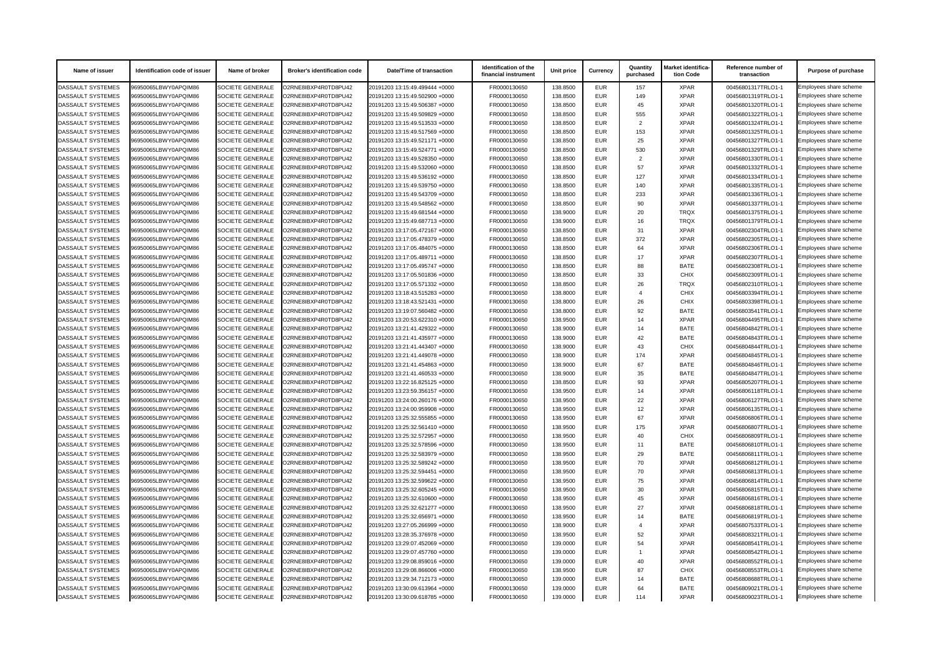| Name of issuer           | Identification code of issuer | Name of broker          | <b>Broker's identification code</b> | <b>Date/Time of transaction</b> | Identification of the<br>financial instrument | Unit price | <b>Currency</b> | Quantity<br>purchased | Market identifica-<br>tion Code | Reference number of<br>transaction | <b>Purpose of purchase</b> |
|--------------------------|-------------------------------|-------------------------|-------------------------------------|---------------------------------|-----------------------------------------------|------------|-----------------|-----------------------|---------------------------------|------------------------------------|----------------------------|
| <b>DASSAULT SYSTEMES</b> | 96950065LBWY0APQIM86          | SOCIETE GENERALE        | O2RNE8IBXP4R0TD8PU42                | 20191203 13:15:49.499444 +0000  | FR0000130650                                  | 138.8500   | <b>EUR</b>      | 157                   | <b>XPAR</b>                     | 00456801317TRLO1-1                 | Employees share scheme     |
| DASSAULT SYSTEMES        | 96950065LBWY0APQIM86          | <b>SOCIETE GENERALE</b> | O2RNE8IBXP4R0TD8PU42                | 20191203 13:15:49.502900 +0000  | FR0000130650                                  | 138.8500   | <b>EUR</b>      | 149                   | <b>XPAR</b>                     | 00456801319TRLO1-1                 | Employees share scheme     |
| <b>DASSAULT SYSTEMES</b> | 96950065LBWY0APQIM86          | <b>SOCIETE GENERALE</b> | O2RNE8IBXP4R0TD8PU42                | 20191203 13:15:49.506387 +0000  | FR0000130650                                  | 138.8500   | <b>EUR</b>      | 45                    | <b>XPAR</b>                     | 00456801320TRLO1-1                 | Employees share scheme     |
| DASSAULT SYSTEMES        | 96950065LBWY0APQIM86          | <b>SOCIETE GENERALE</b> | O2RNE8IBXP4R0TD8PU42                | 20191203 13:15:49.509829 +0000  | FR0000130650                                  | 138.8500   | <b>EUR</b>      | 555                   | <b>XPAR</b>                     | 00456801322TRLO1-1                 | Employees share scheme     |
| <b>DASSAULT SYSTEMES</b> | 96950065LBWY0APQIM86          | <b>SOCIETE GENERALE</b> | O2RNE8IBXP4R0TD8PU42                | 20191203 13:15:49.513533 +0000  | FR0000130650                                  | 138.8500   | <b>EUR</b>      | $\mathcal{P}$         | <b>XPAR</b>                     | 00456801324TRLO1-1                 | Employees share scheme     |
| <b>DASSAULT SYSTEMES</b> | 96950065LBWY0APQIM86          | <b>SOCIETE GENERALE</b> | O2RNE8IBXP4R0TD8PU42                | 20191203 13:15:49.517569 +0000  | FR0000130650                                  | 138.8500   | <b>EUR</b>      | 153                   | <b>XPAR</b>                     | 00456801325TRLO1-1                 | Employees share scheme     |
| DASSAULT SYSTEMES        | 96950065LBWY0APQIM86          | <b>SOCIETE GENERALE</b> | O2RNE8IBXP4R0TD8PU42                | 20191203 13:15:49.521171 +0000  | FR0000130650                                  | 138.8500   | <b>EUR</b>      | 25                    | <b>XPAR</b>                     | 00456801327TRLO1-1                 | Employees share scheme     |
| <b>DASSAULT SYSTEMES</b> | 96950065LBWY0APQIM86          | <b>SOCIETE GENERALE</b> | O2RNE8IBXP4R0TD8PU42                | 20191203 13:15:49.524771 +0000  | FR0000130650                                  | 138.8500   | <b>EUR</b>      | 530                   | <b>XPAR</b>                     | 00456801329TRLO1-1                 | Employees share scheme     |
| DASSAULT SYSTEMES        | 96950065LBWY0APQIM86          | <b>SOCIETE GENERALE</b> | O2RNE8IBXP4R0TD8PU42                | 20191203 13:15:49.528350 +0000  | FR0000130650                                  | 138.8500   | <b>EUR</b>      | $\mathcal{P}$         | <b>XPAR</b>                     | 00456801330TRLO1-1                 | Employees share scheme     |
| <b>DASSAULT SYSTEMES</b> | 96950065LBWY0APQIM86          | <b>SOCIETE GENERALE</b> | O2RNE8IBXP4R0TD8PU42                | 20191203 13:15:49.532060 +0000  | FR0000130650                                  | 138.8500   | <b>EUR</b>      | 57                    | <b>XPAR</b>                     | 00456801332TRLO1-1                 | Employees share scheme     |
| <b>DASSAULT SYSTEMES</b> | 96950065LBWY0APQIM86          | <b>SOCIETE GENERALE</b> | O2RNE8IBXP4R0TD8PU42                | 20191203 13:15:49.536192 +0000  | FR0000130650                                  | 138.8500   | <b>EUR</b>      | 127                   | <b>XPAR</b>                     | 00456801334TRLO1-1                 | Employees share scheme     |
| DASSAULT SYSTEMES        | 96950065LBWY0APQIM86          | <b>SOCIETE GENERALE</b> | O2RNE8IBXP4R0TD8PU42                | 20191203 13:15:49.539750 +0000  | FR0000130650                                  | 138.8500   | <b>EUR</b>      | 140                   | <b>XPAR</b>                     | 00456801335TRLO1-1                 | Employees share scheme     |
| DASSAULT SYSTEMES        | 96950065LBWY0APQIM86          | <b>SOCIETE GENERALE</b> | O2RNE8IBXP4R0TD8PU42                | 20191203 13:15:49.543709 +0000  | FR0000130650                                  | 138.8500   | <b>EUR</b>      | 233                   | <b>XPAR</b>                     | 00456801336TRLO1-1                 | Employees share scheme     |
| <b>DASSAULT SYSTEMES</b> | 96950065LBWY0APQIM86          | <b>SOCIETE GENERALE</b> | O2RNE8IBXP4R0TD8PU42                | 20191203 13:15:49.548562 +0000  | FR0000130650                                  | 138.8500   | <b>EUR</b>      | 90                    | <b>XPAR</b>                     | 00456801337TRLO1-1                 | Employees share scheme     |
| <b>DASSAULT SYSTEMES</b> | 96950065LBWY0APQIM86          | <b>SOCIETE GENERALE</b> | O2RNE8IBXP4R0TD8PU42                | 20191203 13:15:49.681544 +0000  | FR0000130650                                  | 138.9000   | <b>EUR</b>      | 20                    | <b>TRQX</b>                     | 00456801375TRLO1-1                 | Employees share scheme     |
| <b>DASSAULT SYSTEMES</b> | 96950065LBWY0APQIM86          | <b>SOCIETE GENERALE</b> | O2RNE8IBXP4R0TD8PU42                | 20191203 13:15:49.687713 +0000  | FR0000130650                                  | 138.9000   | <b>EUR</b>      | 16                    | <b>TRQX</b>                     | 00456801379TRLO1-1                 | Employees share scheme     |
| DASSAULT SYSTEMES        | 96950065LBWY0APQIM86          | <b>SOCIETE GENERALE</b> | O2RNE8IBXP4R0TD8PU42                | 20191203 13:17:05.472167 +0000  | FR0000130650                                  | 138.8500   | <b>EUR</b>      | 31                    | <b>XPAR</b>                     | 00456802304TRLO1-1                 | Employees share scheme     |
| DASSAULT SYSTEMES        | 96950065LBWY0APQIM86          | <b>SOCIETE GENERALE</b> | O2RNE8IBXP4R0TD8PU42                | 20191203 13:17:05.478379 +0000  | FR0000130650                                  | 138.8500   | <b>EUR</b>      | 372                   | <b>XPAR</b>                     | 00456802305TRLO1-1                 | Employees share scheme     |
| <b>DASSAULT SYSTEMES</b> | 96950065LBWY0APQIM86          | <b>SOCIETE GENERALE</b> | O2RNE8IBXP4R0TD8PU42                | 20191203 13:17:05.484075 +0000  | FR0000130650                                  | 138.8500   | <b>EUR</b>      | 64                    | <b>XPAR</b>                     | 00456802306TRLO1-1                 | Employees share scheme     |
| <b>DASSAULT SYSTEMES</b> | 96950065LBWY0APQIM86          | <b>SOCIETE GENERALE</b> | O2RNE8IBXP4R0TD8PU42                | 20191203 13:17:05.489711 +0000  | FR0000130650                                  | 138.8500   | <b>EUR</b>      | 17                    | <b>XPAR</b>                     | 00456802307TRLO1-1                 | Employees share scheme     |
| <b>DASSAULT SYSTEMES</b> | 96950065LBWY0APQIM86          | <b>SOCIETE GENERALE</b> | O2RNE8IBXP4R0TD8PU42                | 20191203 13:17:05.495747 +0000  | FR0000130650                                  | 138.8500   | <b>EUR</b>      | 88                    | <b>BATE</b>                     | 00456802308TRLO1-1                 | Employees share scheme     |
| <b>DASSAULT SYSTEMES</b> | 96950065LBWY0APQIM86          | <b>SOCIETE GENERALE</b> | O2RNE8IBXP4R0TD8PU42                | 20191203 13:17:05.501836 +0000  | FR0000130650                                  | 138.8500   | <b>EUR</b>      | 33                    | <b>CHIX</b>                     | 00456802309TRLO1-1                 | Employees share scheme     |
| <b>DASSAULT SYSTEMES</b> | 96950065LBWY0APQIM86          | <b>SOCIETE GENERALE</b> | O2RNE8IBXP4R0TD8PU42                | 20191203 13:17:05.571332 +0000  | FR0000130650                                  | 138.8500   | <b>EUR</b>      | 26                    | <b>TRQX</b>                     | 00456802310TRLO1-1                 | Employees share scheme     |
| <b>DASSAULT SYSTEMES</b> | 96950065LBWY0APQIM86          | <b>SOCIETE GENERALE</b> | O2RNE8IBXP4R0TD8PU42                | 20191203 13:18:43.515283 +0000  | FR0000130650                                  | 138.8000   | <b>EUR</b>      |                       | <b>CHIX</b>                     | 00456803394TRLO1-1                 | Employees share scheme     |
| DASSAULT SYSTEMES        | 96950065LBWY0APQIM86          | <b>SOCIETE GENERALE</b> | O2RNE8IBXP4R0TD8PU42                | 20191203 13:18:43.521431 +0000  | FR0000130650                                  | 138.8000   | <b>EUR</b>      | 26                    | <b>CHIX</b>                     | 00456803398TRLO1-1                 | Employees share scheme     |
| <b>DASSAULT SYSTEMES</b> | 96950065LBWY0APQIM86          | <b>SOCIETE GENERALE</b> | O2RNE8IBXP4R0TD8PU42                | 20191203 13:19:07.560482 +0000  | FR0000130650                                  | 138.8000   | <b>EUR</b>      | 92                    | <b>BATE</b>                     | 00456803541TRLO1-1                 | Employees share scheme     |
| <b>DASSAULT SYSTEMES</b> | 96950065LBWY0APQIM86          | <b>SOCIETE GENERALE</b> | O2RNE8IBXP4R0TD8PU42                | 20191203 13:20:53.622310 +0000  | FR0000130650                                  | 138.9500   | <b>EUR</b>      | 14                    | <b>XPAR</b>                     | 00456804495TRLO1-1                 | Employees share scheme     |
| DASSAULT SYSTEMES        | 96950065LBWY0APQIM86          | <b>SOCIETE GENERALE</b> | O2RNE8IBXP4R0TD8PU42                | 20191203 13:21:41.429322 +0000  | FR0000130650                                  | 138.9000   | <b>EUR</b>      | 14                    | <b>BATE</b>                     | 00456804842TRLO1-1                 | Employees share scheme     |
| DASSAULT SYSTEMES        | 96950065LBWY0APQIM86          | SOCIETE GENERALE        | O2RNE8IBXP4R0TD8PU42                | 20191203 13:21:41.435977 +0000  | FR0000130650                                  | 138.9000   | EUR             | 42                    | <b>BATE</b>                     | 00456804843TRLO1-1                 | Employees share scheme     |
| DASSAULT SYSTEMES        | 96950065LBWY0APQIM86          | <b>SOCIETE GENERALE</b> | O2RNE8IBXP4R0TD8PU42                | 20191203 13:21:41.443407 +0000  | FR0000130650                                  | 138.9000   | <b>EUR</b>      | 43                    | <b>CHIX</b>                     | 00456804844TRLO1-1                 | Employees share scheme     |
| <b>DASSAULT SYSTEMES</b> | 96950065LBWY0APQIM86          | <b>SOCIETE GENERALE</b> | O2RNE8IBXP4R0TD8PU42                | 20191203 13:21:41.449078 +0000  | FR0000130650                                  | 138.9000   | <b>EUR</b>      | 174                   | <b>XPAR</b>                     | 00456804845TRLO1-1                 | Employees share scheme     |
| DASSAULT SYSTEMES        | 96950065LBWY0APQIM86          | <b>SOCIETE GENERALE</b> | O2RNE8IBXP4R0TD8PU42                | 20191203 13:21:41.454863 +0000  | FR0000130650                                  | 138.9000   | <b>EUR</b>      | 67                    | <b>BATE</b>                     | 00456804846TRLO1-1                 | Employees share scheme     |
| <b>DASSAULT SYSTEMES</b> | 96950065LBWY0APQIM86          | <b>SOCIETE GENERALE</b> | O2RNE8IBXP4R0TD8PU42                | 20191203 13:21:41.460533 +0000  | FR0000130650                                  | 138.9000   | <b>EUR</b>      | 35                    | <b>BATE</b>                     | 00456804847TRLO1-1                 | Employees share scheme     |
| <b>DASSAULT SYSTEMES</b> | 96950065LBWY0APQIM86          | <b>SOCIETE GENERALE</b> | O2RNE8IBXP4R0TD8PU42                | 20191203 13:22:16.825125 +0000  | FR0000130650                                  | 138.8500   | <b>EUR</b>      | 93                    | <b>XPAR</b>                     | 00456805207TRLO1-1                 | Employees share scheme     |
| DASSAULT SYSTEMES        | 96950065LBWY0APQIM86          | <b>SOCIETE GENERALE</b> | O2RNE8IBXP4R0TD8PU42                | 20191203 13:23:59.356157 +0000  | FR0000130650                                  | 138.9500   | <b>EUR</b>      | 14                    | <b>XPAR</b>                     | 00456806118TRLO1-1                 | Employees share scheme     |
| <b>DASSAULT SYSTEMES</b> | 96950065LBWY0APQIM86          | <b>SOCIETE GENERALE</b> | O2RNE8IBXP4R0TD8PU42                | 20191203 13:24:00.260176 +0000  | FR0000130650                                  | 138.9500   | <b>EUR</b>      | 22                    | <b>XPAR</b>                     | 00456806127TRLO1-1                 | Employees share scheme     |
| DASSAULT SYSTEMES        | 96950065LBWY0APQIM86          | <b>SOCIETE GENERALE</b> | O2RNE8IBXP4R0TD8PU42                | 20191203 13:24:00.959908 +0000  | FR0000130650                                  | 138.9500   | <b>EUR</b>      | 12                    | <b>XPAR</b>                     | 00456806135TRLO1-1                 | Employees share scheme     |
| <b>DASSAULT SYSTEMES</b> | 96950065LBWY0APQIM86          | <b>SOCIETE GENERALE</b> | O2RNE8IBXP4R0TD8PU42                | 20191203 13:25:32.555855 +0000  | FR0000130650                                  | 138.9500   | <b>EUR</b>      | 67                    | <b>XPAR</b>                     | 00456806806TRLO1-1                 | Employees share scheme     |
| <b>DASSAULT SYSTEMES</b> | 96950065LBWY0APQIM86          | <b>SOCIETE GENERALE</b> | O2RNE8IBXP4R0TD8PU42                | 20191203 13:25:32.561410 +0000  | FR0000130650                                  | 138.9500   | <b>EUR</b>      | 175                   | <b>XPAR</b>                     | 00456806807TRLO1-1                 | Employees share scheme     |
| DASSAULT SYSTEMES        | 96950065LBWY0APQIM86          | <b>SOCIETE GENERALE</b> | O2RNE8IBXP4R0TD8PU42                | 20191203 13:25:32.572957 +0000  | FR0000130650                                  | 138.9500   | <b>EUR</b>      | 40                    | <b>CHIX</b>                     | 00456806809TRLO1-1                 | Employees share scheme     |
| <b>DASSAULT SYSTEMES</b> | 96950065LBWY0APQIM86          | <b>SOCIETE GENERALE</b> | O2RNE8IBXP4R0TD8PU42                | 20191203 13:25:32.578596 +0000  | FR0000130650                                  | 138.9500   | <b>EUR</b>      | 11                    | <b>BATE</b>                     | 00456806810TRLO1-1                 | Employees share scheme     |
| <b>DASSAULT SYSTEMES</b> | 96950065LBWY0APQIM86          | <b>SOCIETE GENERALE</b> | O2RNE8IBXP4R0TD8PU42                | 20191203 13:25:32.583979 +0000  | FR0000130650                                  | 138.9500   | <b>EUR</b>      | 29                    | <b>BATE</b>                     | 00456806811TRLO1-1                 | Employees share scheme     |
| <b>DASSAULT SYSTEMES</b> | 96950065LBWY0APQIM86          | SOCIETE GENERALE        | O2RNE8IBXP4R0TD8PU42                | 20191203 13:25:32.589242 +0000  | FR0000130650                                  | 138.9500   | <b>EUR</b>      | 70                    | <b>XPAR</b>                     | 00456806812TRLO1-1                 | Employees share scheme     |
| <b>DASSAULT SYSTEMES</b> | 96950065LBWY0APQIM86          | SOCIETE GENERALE        | O2RNE8IBXP4R0TD8PU42                | 20191203 13:25:32.594451 +0000  | FR0000130650                                  | 138.9500   | <b>EUR</b>      | 70                    | <b>XPAR</b>                     | 00456806813TRLO1-1                 | Employees share scheme     |
| DASSAULT SYSTEMES        | 96950065LBWY0APQIM86          | <b>SOCIETE GENERALE</b> | O2RNE8IBXP4R0TD8PU42                | 20191203 13:25:32.599622 +0000  | FR0000130650                                  | 138.9500   | <b>EUR</b>      | 75                    | <b>XPAR</b>                     | 00456806814TRLO1-1                 | Employees share scheme     |
| <b>DASSAULT SYSTEMES</b> | 96950065LBWY0APQIM86          | <b>SOCIETE GENERALE</b> | O2RNE8IBXP4R0TD8PU42                | 20191203 13:25:32.605245 +0000  | FR0000130650                                  | 138.9500   | <b>EUR</b>      | 30                    | <b>XPAR</b>                     | 00456806815TRLO1-1                 | Employees share scheme     |
| DASSAULT SYSTEMES        | 96950065LBWY0APQIM86          | <b>SOCIETE GENERALE</b> | O2RNE8IBXP4R0TD8PU42                | 20191203 13:25:32.610600 +0000  | FR0000130650                                  | 138.9500   | <b>EUR</b>      | 45                    | <b>XPAR</b>                     | 00456806816TRLO1-1                 | Employees share scheme     |
| DASSAULT SYSTEMES        | 96950065LBWY0APQIM86          | <b>SOCIETE GENERALE</b> | O2RNE8IBXP4R0TD8PU42                | 20191203 13:25:32.621277 +0000  | FR0000130650                                  | 138.9500   | <b>EUR</b>      | 27                    | <b>XPAR</b>                     | 00456806818TRLO1-1                 | Employees share scheme     |
| <b>DASSAULT SYSTEMES</b> | 96950065LBWY0APQIM86          | <b>SOCIETE GENERALE</b> | O2RNE8IBXP4R0TD8PU42                | 20191203 13:25:32.656971 +0000  | FR0000130650                                  | 138.9500   | <b>EUR</b>      | 14                    | <b>BATE</b>                     | 00456806819TRLO1-1                 | Employees share scheme     |
| DASSAULT SYSTEMES        | 96950065LBWY0APQIM86          | SOCIETE GENERALE        | O2RNE8IBXP4R0TD8PU42                | 20191203 13:27:05.266999 +0000  | FR0000130650                                  | 138.9000   | <b>EUR</b>      |                       | <b>XPAR</b>                     | 00456807533TRLO1-1                 | Employees share scheme     |
| <b>DASSAULT SYSTEMES</b> | 96950065LBWY0APQIM86          | <b>SOCIETE GENERALE</b> | O2RNE8IBXP4R0TD8PU42                | 20191203 13:28:35.376978 +0000  | FR0000130650                                  | 138.9500   | <b>EUR</b>      | 52                    | <b>XPAR</b>                     | 00456808321TRLO1-1                 | Employees share scheme     |
| <b>DASSAULT SYSTEMES</b> | 96950065LBWY0APQIM86          | <b>SOCIETE GENERALE</b> | O2RNE8IBXP4R0TD8PU42                | 20191203 13:29:07.452069 +0000  | FR0000130650                                  | 139.0000   | <b>EUR</b>      | 54                    | <b>XPAR</b>                     | 00456808541TRLO1-1                 | Employees share scheme     |
| DASSAULT SYSTEMES        | 96950065LBWY0APQIM86          | SOCIETE GENERALE        | O2RNE8IBXP4R0TD8PU42                | 20191203 13:29:07.457760 +0000  | FR0000130650                                  | 139.0000   | <b>EUR</b>      |                       | <b>XPAR</b>                     | 00456808542TRLO1-1                 | Employees share scheme     |
| <b>DASSAULT SYSTEMES</b> | 96950065LBWY0APQIM86          | <b>SOCIETE GENERALE</b> | O2RNE8IBXP4R0TD8PU42                | 20191203 13:29:08.859016 +0000  | FR0000130650                                  | 139.0000   | <b>EUR</b>      | 40                    | <b>XPAR</b>                     | 00456808552TRLO1-1                 | Employees share scheme     |
| DASSAULT SYSTEMES        | 96950065LBWY0APQIM86          | <b>SOCIETE GENERALE</b> | O2RNE8IBXP4R0TD8PU42                | 20191203 13:29:08.866006 +0000  | FR0000130650                                  | 138.9500   | <b>EUR</b>      | 87                    | <b>CHIX</b>                     | 00456808553TRLO1-1                 | Employees share scheme     |
| <b>DASSAULT SYSTEMES</b> | 96950065LBWY0APQIM86          | <b>SOCIETE GENERALE</b> | O2RNE8IBXP4R0TD8PU42                | 20191203 13:29:34.712173 +0000  | FR0000130650                                  | 139.0000   | <b>EUR</b>      | 14                    | <b>BATE</b>                     | 00456808688TRLO1-1                 | Employees share scheme     |
| <b>DASSAULT SYSTEMES</b> | 96950065LBWY0APQIM86          | <b>SOCIETE GENERALE</b> | O2RNE8IBXP4R0TD8PU42                | 20191203 13:30:09.613964 +0000  | FR0000130650                                  | 139.0000   | <b>EUR</b>      | 64                    | <b>BATE</b>                     | 00456809021TRLO1-1                 | Employees share scheme     |
| DASSAULT SYSTEMES        | 96950065LBWY0APQIM86          | SOCIETE GENERALE        | O2RNE8IBXP4R0TD8PU42                | 20191203 13:30:09.618785 +0000  | FR0000130650                                  | 139.0000   | EUR             | 114                   | <b>XPAR</b>                     | 00456809023TRLO1-1                 | Employees share scheme     |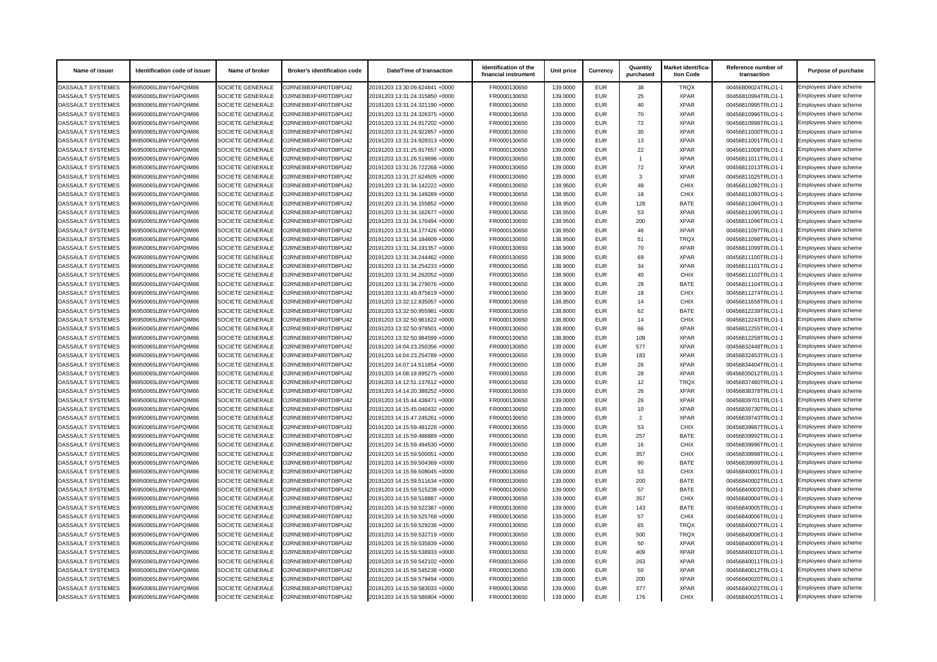| Name of issuer           | Identification code of issuer | Name of broker          | <b>Broker's identification code</b> | <b>Date/Time of transaction</b> | Identification of the<br>financial instrument | Unit price | <b>Currency</b> | Quantity<br>purchased | Market identifica-<br>tion Code | Reference number of<br>transaction | <b>Purpose of purchase</b> |
|--------------------------|-------------------------------|-------------------------|-------------------------------------|---------------------------------|-----------------------------------------------|------------|-----------------|-----------------------|---------------------------------|------------------------------------|----------------------------|
| <b>DASSAULT SYSTEMES</b> | 96950065LBWY0APQIM86          | SOCIETE GENERALE        | O2RNE8IBXP4R0TD8PU42                | 20191203 13:30:09.624841 +0000  | FR0000130650                                  | 139.0000   | <b>EUR</b>      | 38                    | <b>TRQX</b>                     | 00456809024TRLO1-1                 | Employees share scheme     |
| DASSAULT SYSTEMES        | 96950065LBWY0APQIM86          | <b>SOCIETE GENERALE</b> | O2RNE8IBXP4R0TD8PU42                | 20191203 13:31:24.315850 +0000  | FR0000130650                                  | 139,0000   | <b>EUR</b>      | 25                    | <b>XPAR</b>                     | 00456810994TRLO1-1                 | Employees share scheme     |
| <b>DASSAULT SYSTEMES</b> | 96950065LBWY0APQIM86          | SOCIETE GENERALE        | O2RNE8IBXP4R0TD8PU42                | 20191203 13:31:24.321190 +0000  | FR0000130650                                  | 139.0000   | <b>EUR</b>      | 40                    | <b>XPAR</b>                     | 00456810995TRLO1-1                 | Employees share scheme     |
| DASSAULT SYSTEMES        | 96950065LBWY0APQIM86          | <b>SOCIETE GENERALE</b> | O2RNE8IBXP4R0TD8PU42                | 20191203 13:31:24.326375 +0000  | FR0000130650                                  | 139.0000   | EUR             | 70                    | <b>XPAR</b>                     | 00456810996TRLO1-1                 | Employees share scheme     |
| <b>DASSAULT SYSTEMES</b> | 96950065LBWY0APQIM86          | <b>SOCIETE GENERALE</b> | O2RNE8IBXP4R0TD8PU42                | 20191203 13:31:24.917202 +0000  | FR0000130650                                  | 139.0000   | EUR             | 72                    | <b>XPAR</b>                     | 00456810998TRLO1-1                 | Employees share scheme     |
| <b>DASSAULT SYSTEMES</b> | 96950065LBWY0APQIM86          | <b>SOCIETE GENERALE</b> | O2RNE8IBXP4R0TD8PU42                | 20191203 13:31:24.922857 +0000  | FR0000130650                                  | 139.0000   | EUR             | 30                    | <b>XPAR</b>                     | 00456811000TRLO1-1                 | Employees share scheme     |
| DASSAULT SYSTEMES        | 96950065LBWY0APQIM86          | <b>SOCIETE GENERALE</b> | O2RNE8IBXP4R0TD8PU42                | 20191203 13:31:24.928313 +0000  | FR0000130650                                  | 139.0000   | EUR             | 13                    | <b>XPAR</b>                     | 00456811001TRLO1-1                 | Employees share scheme     |
| <b>DASSAULT SYSTEMES</b> | 96950065LBWY0APQIM86          | <b>SOCIETE GENERALE</b> | O2RNE8IBXP4R0TD8PU42                | 20191203 13:31:25.917657 +0000  | FR0000130650                                  | 139.0000   | <b>EUR</b>      | 22                    | <b>XPAR</b>                     | 00456811008TRLO1-1                 | Employees share scheme     |
| <b>DASSAULT SYSTEMES</b> | 96950065LBWY0APQIM86          | <b>SOCIETE GENERALE</b> | O2RNE8IBXP4R0TD8PU42                | 20191203 13:31:26.519696 +0000  | FR0000130650                                  | 139.0000   | <b>EUR</b>      |                       | <b>XPAR</b>                     | 00456811011TRLO1-1                 | Employees share scheme     |
| <b>DASSAULT SYSTEMES</b> | 96950065LBWY0APQIM86          | SOCIETE GENERALE        | O2RNE8IBXP4R0TD8PU42                | 20191203 13:31:26.722268 +0000  | FR0000130650                                  | 139.0000   | <b>EUR</b>      | 72                    | <b>XPAR</b>                     | 00456811013TRLO1-1                 | Employees share scheme     |
| <b>DASSAULT SYSTEMES</b> | 96950065LBWY0APQIM86          | <b>SOCIETE GENERALE</b> | O2RNE8IBXP4R0TD8PU42                | 20191203 13:31:27.624505 +0000  | FR0000130650                                  | 139.0000   | <b>EUR</b>      | 3                     | <b>XPAR</b>                     | 00456811025TRLO1-1                 | Employees share scheme     |
| DASSAULT SYSTEMES        | 96950065LBWY0APQIM86          | <b>SOCIETE GENERALE</b> | O2RNE8IBXP4R0TD8PU42                | 20191203 13:31:34.142222 +0000  | FR0000130650                                  | 138.9500   | EUR             | 49                    | <b>CHIX</b>                     | 00456811092TRLO1-1                 | Employees share scheme     |
| DASSAULT SYSTEMES        | 96950065LBWY0APQIM86          | <b>SOCIETE GENERALE</b> | O2RNE8IBXP4R0TD8PU42                | 20191203 13:31:34.149289 +0000  | FR0000130650                                  | 138.9500   | <b>EUR</b>      | 18                    | <b>CHIX</b>                     | 00456811093TRLO1-1                 | Employees share scheme     |
| <b>DASSAULT SYSTEMES</b> | 96950065LBWY0APQIM86          | <b>SOCIETE GENERALE</b> | O2RNE8IBXP4R0TD8PU42                | 20191203 13:31:34.155852 +0000  | FR0000130650                                  | 138.9500   | EUR             | 128                   | <b>BATE</b>                     | 00456811094TRLO1-1                 | Employees share scheme     |
| <b>DASSAULT SYSTEMES</b> | 96950065LBWY0APQIM86          | <b>SOCIETE GENERALE</b> | O2RNE8IBXP4R0TD8PU42                | 20191203 13:31:34.162677 +0000  | FR0000130650                                  | 138.9500   | EUR             | 53                    | <b>XPAR</b>                     | 00456811095TRLO1-1                 | Employees share scheme     |
| <b>DASSAULT SYSTEMES</b> | 96950065LBWY0APQIM86          | <b>SOCIETE GENERALE</b> | O2RNE8IBXP4R0TD8PU42                | 20191203 13:31:34.170494 +0000  | FR0000130650                                  | 138.9500   | EUR             | 200                   | <b>XPAR</b>                     | 00456811096TRLO1-1                 | Employees share scheme     |
| DASSAULT SYSTEMES        | 96950065LBWY0APQIM86          | <b>SOCIETE GENERALE</b> | O2RNE8IBXP4R0TD8PU42                | 20191203 13:31:34.177426 +0000  | FR0000130650                                  | 138.9500   | EUR             | 46                    | <b>XPAR</b>                     | 00456811097TRLO1-1                 | Employees share scheme     |
| DASSAULT SYSTEMES        | 96950065LBWY0APQIM86          | <b>SOCIETE GENERALE</b> | O2RNE8IBXP4R0TD8PU42                | 20191203 13:31:34.184609 +0000  | FR0000130650                                  | 138.9500   | <b>EUR</b>      | 51                    | <b>TRQX</b>                     | 00456811098TRLO1-1                 | Employees share scheme     |
| DASSAULT SYSTEMES        | 96950065LBWY0APQIM86          | <b>SOCIETE GENERALE</b> | O2RNE8IBXP4R0TD8PU42                | 20191203 13:31:34.191357 +0000  | FR0000130650                                  | 138.9000   | EUR             | 70                    | <b>XPAR</b>                     | 00456811099TRLO1-1                 | Employees share scheme     |
| <b>DASSAULT SYSTEMES</b> | 96950065LBWY0APQIM86          | <b>SOCIETE GENERALE</b> | O2RNE8IBXP4R0TD8PU42                | 20191203 13:31:34.244462 +0000  | FR0000130650                                  | 138.9000   | <b>EUR</b>      | 69                    | <b>XPAR</b>                     | 00456811100TRLO1-1                 | Employees share scheme     |
| <b>DASSAULT SYSTEMES</b> | 96950065LBWY0APQIM86          | <b>SOCIETE GENERALE</b> | O2RNE8IBXP4R0TD8PU42                | 20191203 13:31:34.254233 +0000  | FR0000130650                                  | 138.9000   | EUR             | 34                    | <b>XPAR</b>                     | 00456811101TRLO1-1                 | Employees share scheme     |
| <b>DASSAULT SYSTEMES</b> | 96950065LBWY0APQIM86          | <b>SOCIETE GENERALE</b> | O2RNE8IBXP4R0TD8PU42                | 20191203 13:31:34.262052 +0000  | FR0000130650                                  | 138.9000   | <b>EUR</b>      | 40                    | <b>CHIX</b>                     | 00456811102TRLO1-1                 | Employees share scheme     |
| <b>DASSAULT SYSTEMES</b> | 96950065LBWY0APQIM86          | <b>SOCIETE GENERALE</b> | O2RNE8IBXP4R0TD8PU42                | 20191203 13:31:34.279076 +0000  | FR0000130650                                  | 138.9000   | EUR             | 29                    | <b>BATE</b>                     | 00456811104TRLO1-1                 | Employees share scheme     |
| <b>DASSAULT SYSTEMES</b> | 96950065LBWY0APQIM86          | <b>SOCIETE GENERALE</b> | O2RNE8IBXP4R0TD8PU42                | 20191203 13:31:49.875619 +0000  | FR0000130650                                  | 138.9000   | <b>EUR</b>      | 18                    | <b>CHIX</b>                     | 00456811274TRLO1-1                 | Employees share scheme     |
| DASSAULT SYSTEMES        | 96950065LBWY0APQIM86          | <b>SOCIETE GENERALE</b> | O2RNE8IBXP4R0TD8PU42                | 20191203 13:32:12.835057 +0000  | FR0000130650                                  | 138.8500   | EUR             | 14                    | <b>CHIX</b>                     | 00456811658TRLO1-1                 | Employees share scheme     |
| <b>DASSAULT SYSTEMES</b> | 96950065LBWY0APQIM86          | <b>SOCIETE GENERALE</b> | O2RNE8IBXP4R0TD8PU42                | 20191203 13:32:50.955981 +0000  | FR0000130650                                  | 138.8000   | EUR             | 62                    | <b>BATE</b>                     | 00456812239TRLO1-1                 | Employees share scheme     |
| <b>DASSAULT SYSTEMES</b> | 96950065LBWY0APQIM86          | <b>SOCIETE GENERALE</b> | O2RNE8IBXP4R0TD8PU42                | 20191203 13:32:50.961622 +0000  | FR0000130650                                  | 138.8000   | EUR             | 14                    | <b>CHIX</b>                     | 00456812243TRLO1-1                 | Employees share scheme     |
| DASSAULT SYSTEMES        | 96950065LBWY0APQIM86          | <b>SOCIETE GENERALE</b> | O2RNE8IBXP4R0TD8PU42                | 20191203 13:32:50.978501 +0000  | FR0000130650                                  | 138.8000   | <b>EUR</b>      | 66                    | <b>XPAR</b>                     | 00456812255TRLO1-1                 | Employees share scheme     |
| DASSAULT SYSTEMES        | 96950065LBWY0APQIM86          | SOCIETE GENERALE        | O2RNE8IBXP4R0TD8PU42                | 20191203 13:32:50.984599 +0000  | FR0000130650                                  | 138.8000   | EUR             | 109                   | XPAR                            | 00456812258TRLO1-1                 | Employees share scheme     |
| DASSAULT SYSTEMES        | 96950065LBWY0APQIM86          | <b>SOCIETE GENERALE</b> | O2RNE8IBXP4R0TD8PU42                | 20191203 14:04:23.250356 +0000  | FR0000130650                                  | 139.0000   | <b>EUR</b>      | 577                   | <b>XPAR</b>                     | 00456832448TRLO1-1                 | Employees share scheme     |
| <b>DASSAULT SYSTEMES</b> | 96950065LBWY0APQIM86          | <b>SOCIETE GENERALE</b> | O2RNE8IBXP4R0TD8PU42                | 20191203 14:04:23.254789 +0000  | FR0000130650                                  | 139.0000   | <b>EUR</b>      | 183                   | <b>XPAR</b>                     | 00456832453TRLO1-1                 | Employees share scheme     |
| DASSAULT SYSTEMES        | 96950065LBWY0APQIM86          | <b>SOCIETE GENERALE</b> | O2RNE8IBXP4R0TD8PU42                | 20191203 14:07:14.511854 +0000  | FR0000130650                                  | 139.0000   | EUR             | 26                    | <b>XPAR</b>                     | 00456834404TRLO1-1                 | Employees share scheme     |
| <b>DASSAULT SYSTEMES</b> | 96950065LBWY0APQIM86          | SOCIETE GENERALE        | O2RNE8IBXP4R0TD8PU42                | 20191203 14:08:19.895275 +0000  | FR0000130650                                  | 139.0000   | <b>EUR</b>      | 28                    | <b>XPAR</b>                     | 00456835012TRLO1-1                 | Employees share scheme     |
| <b>DASSAULT SYSTEMES</b> | 96950065LBWY0APQIM86          | SOCIETE GENERALE        | O2RNE8IBXP4R0TD8PU42                | 20191203 14:12:51.137612 +0000  | FR0000130650                                  | 139.0000   | <b>EUR</b>      | 12                    | <b>TRQX</b>                     | 00456837480TRLO1-1                 | Employees share scheme     |
| DASSAULT SYSTEMES        | 96950065LBWY0APQIM86          | <b>SOCIETE GENERALE</b> | O2RNE8IBXP4R0TD8PU42                | 20191203 14:14:20.388252 +0000  | FR0000130650                                  | 139.0000   | EUR             | 26                    | <b>XPAR</b>                     | 00456838378TRLO1-1                 | Employees share scheme     |
| <b>DASSAULT SYSTEMES</b> | 96950065LBWY0APQIM86          | <b>SOCIETE GENERALE</b> | O2RNE8IBXP4R0TD8PU42                | 20191203 14:15:44.438471 +0000  | FR0000130650                                  | 139.0000   | EUR             | 26                    | <b>XPAR</b>                     | 00456839701TRLO1-1                 | Employees share scheme     |
| DASSAULT SYSTEMES        | 96950065LBWY0APQIM86          | <b>SOCIETE GENERALE</b> | O2RNE8IBXP4R0TD8PU42                | 20191203 14:15:45.040432 +0000  | FR0000130650                                  | 139.0000   | EUR             | 10                    | <b>XPAR</b>                     | 00456839730TRLO1-1                 | Employees share scheme     |
| <b>DASSAULT SYSTEMES</b> | 96950065LBWY0APQIM86          | SOCIETE GENERALE        | O2RNE8IBXP4R0TD8PU42                | 20191203 14:15:47.245261 +0000  | FR0000130650                                  | 139.0000   | <b>EUR</b>      | $\overline{2}$        | <b>XPAR</b>                     | 00456839743TRLO1-1                 | Employees share scheme     |
| <b>DASSAULT SYSTEMES</b> | 96950065LBWY0APQIM86          | <b>SOCIETE GENERALE</b> | O2RNE8IBXP4R0TD8PU42                | 20191203 14:15:59.481228 +0000  | FR0000130650                                  | 139.0000   | EUR             | 53                    | <b>CHIX</b>                     | 00456839987TRLO1-1                 | Employees share scheme     |
| DASSAULT SYSTEMES        | 96950065LBWY0APQIM86          | <b>SOCIETE GENERALE</b> | O2RNE8IBXP4R0TD8PU42                | 20191203 14:15:59.486889 +0000  | FR0000130650                                  | 139.0000   | EUR             | 257                   | <b>BATE</b>                     | 00456839992TRLO1-1                 | Employees share scheme     |
| DASSAULT SYSTEMES        | 96950065LBWY0APQIM86          | <b>SOCIETE GENERALE</b> | O2RNE8IBXP4R0TD8PU42                | 20191203 14:15:59.494530 +0000  | FR0000130650                                  | 139.0000   | <b>EUR</b>      | 16                    | <b>CHIX</b>                     | 00456839996TRLO1-1                 | Employees share scheme     |
| <b>DASSAULT SYSTEMES</b> | 96950065LBWY0APQIM86          | <b>SOCIETE GENERALE</b> | O2RNE8IBXP4R0TD8PU42                | 20191203 14:15:59.500051 +0000  | FR0000130650                                  | 139.0000   | EUR             | 357                   | <b>CHIX</b>                     | 00456839998TRLO1-1                 | Employees share scheme     |
| <b>DASSAULT SYSTEMES</b> | 96950065LBWY0APQIM86          | SOCIETE GENERALE        | O2RNE8IBXP4R0TD8PU42                | 20191203 14:15:59.504369 +0000  | FR0000130650                                  | 139.0000   | EUR             | 90                    | <b>BATE</b>                     | 00456839999TRLO1-1                 | Employees share scheme     |
| <b>DASSAULT SYSTEMES</b> | 96950065LBWY0APQIM86          | SOCIETE GENERALE        | O2RNE8IBXP4R0TD8PU42                | 20191203 14:15:59.508045 +0000  | FR0000130650                                  | 139.0000   | <b>EUR</b>      | 53                    | <b>CHIX</b>                     | 00456840001TRLO1-1                 | Employees share scheme     |
| DASSAULT SYSTEMES        | 96950065LBWY0APQIM86          | <b>SOCIETE GENERALE</b> | O2RNE8IBXP4R0TD8PU42                | 20191203 14:15:59.511634 +0000  | FR0000130650                                  | 139.0000   | EUR             | 200                   | <b>BATE</b>                     | 00456840002TRLO1-1                 | Employees share scheme     |
| <b>DASSAULT SYSTEMES</b> | 96950065LBWY0APQIM86          | <b>SOCIETE GENERALE</b> | O2RNE8IBXP4R0TD8PU42                | 20191203 14:15:59.515238 +0000  | FR0000130650                                  | 139.0000   | <b>EUR</b>      | 57                    | <b>BATE</b>                     | 00456840003TRLO1-1                 | Employees share scheme     |
| DASSAULT SYSTEMES        | 96950065LBWY0APQIM86          | <b>SOCIETE GENERALE</b> | O2RNE8IBXP4R0TD8PU42                | 20191203 14:15:59.518887 +0000  | FR0000130650                                  | 139.0000   | EUR             | 357                   | <b>CHIX</b>                     | 00456840004TRLO1-1                 | Employees share scheme     |
| DASSAULT SYSTEMES        | 96950065LBWY0APQIM86          | SOCIETE GENERALE        | O2RNE8IBXP4R0TD8PU42                | 20191203 14:15:59.522387 +0000  | FR0000130650                                  | 139.0000   | <b>EUR</b>      | 143                   | <b>BATE</b>                     | 00456840005TRLO1-1                 | Employees share scheme     |
| <b>DASSAULT SYSTEMES</b> | 96950065LBWY0APQIM86          | <b>SOCIETE GENERALE</b> | O2RNE8IBXP4R0TD8PU42                | 20191203 14:15:59.525768 +0000  | FR0000130650                                  | 139.0000   | EUR             | 57                    | <b>CHIX</b>                     | 00456840006TRLO1-1                 | Employees share scheme     |
| DASSAULT SYSTEMES        | 96950065LBWY0APQIM86          | SOCIETE GENERALE        | O2RNE8IBXP4R0TD8PU42                | 20191203 14:15:59.529236 +0000  | FR0000130650                                  | 139.0000   | EUR             | 65                    | <b>TRQX</b>                     | 00456840007TRLO1-1                 | Employees share scheme     |
| <b>DASSAULT SYSTEMES</b> | 96950065LBWY0APQIM86          | <b>SOCIETE GENERALE</b> | O2RNE8IBXP4R0TD8PU42                | 20191203 14:15:59.532719 +0000  | FR0000130650                                  | 139.0000   | EUR             | 500                   | <b>TRQX</b>                     | 00456840008TRLO1-1                 | Employees share scheme     |
| <b>DASSAULT SYSTEMES</b> | 96950065LBWY0APQIM86          | <b>SOCIETE GENERALE</b> | O2RNE8IBXP4R0TD8PU42                | 20191203 14:15:59.535839 +0000  | FR0000130650                                  | 139.0000   | <b>EUR</b>      | 50                    | <b>XPAR</b>                     | 00456840009TRLO1-1                 | Employees share scheme     |
| DASSAULT SYSTEMES        | 96950065LBWY0APQIM86          | SOCIETE GENERALE        | O2RNE8IBXP4R0TD8PU42                | 20191203 14:15:59.538933 +0000  | FR0000130650                                  | 139.0000   | <b>EUR</b>      | 409                   | <b>XPAR</b>                     | 00456840010TRLO1-1                 | Employees share scheme     |
| <b>DASSAULT SYSTEMES</b> | 96950065LBWY0APQIM86          | <b>SOCIETE GENERALE</b> | O2RNE8IBXP4R0TD8PU42                | 20191203 14:15:59.542102 +0000  | FR0000130650                                  | 139.0000   | EUR             | 263                   | <b>XPAR</b>                     | 00456840011TRLO1-1                 | Employees share scheme     |
| DASSAULT SYSTEMES        | 96950065LBWY0APQIM86          | <b>SOCIETE GENERALE</b> | O2RNE8IBXP4R0TD8PU42                | 20191203 14:15:59.545238 +0000  | FR0000130650                                  | 139.0000   | EUR             | 50                    | XPAR                            | 00456840012TRLO1-1                 | Employees share scheme     |
| <b>DASSAULT SYSTEMES</b> | 96950065LBWY0APQIM86          | <b>SOCIETE GENERALE</b> | O2RNE8IBXP4R0TD8PU42                | 20191203 14:15:59.579494 +0000  | FR0000130650                                  | 139.0000   | <b>EUR</b>      | 200                   | <b>XPAR</b>                     | 00456840020TRLO1-1                 | Employees share scheme     |
| <b>DASSAULT SYSTEMES</b> | 96950065LBWY0APQIM86          | <b>SOCIETE GENERALE</b> | O2RNE8IBXP4R0TD8PU42                | 20191203 14:15:59.583033 +0000  | FR0000130650                                  | 139.0000   | EUR             | 377                   | <b>XPAR</b>                     | 00456840022TRLO1-1                 | Employees share scheme     |
| DASSAULT SYSTEMES        | 96950065LBWY0APQIM86          | SOCIETE GENERALE        | O2RNE8IBXP4R0TD8PU42                | 20191203 14:15:59.586804 +0000  | FR0000130650                                  | 139.0000   | EUR             | 176                   | <b>CHIX</b>                     | 00456840025TRLO1-1                 | Employees share scheme     |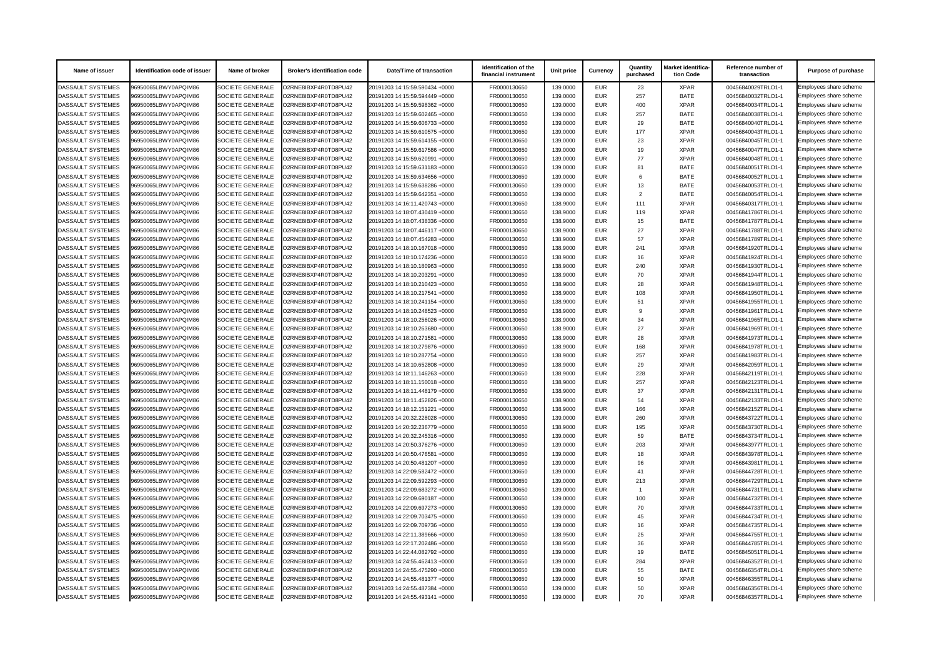| Name of issuer           | Identification code of issuer | Name of broker          | <b>Broker's identification code</b> | <b>Date/Time of transaction</b> | Identification of the<br>financial instrument | Unit price | <b>Currency</b> | Quantity<br>purchased | Market identifica-<br>tion Code | Reference number of<br>transaction | <b>Purpose of purchase</b> |
|--------------------------|-------------------------------|-------------------------|-------------------------------------|---------------------------------|-----------------------------------------------|------------|-----------------|-----------------------|---------------------------------|------------------------------------|----------------------------|
| <b>DASSAULT SYSTEMES</b> | 96950065LBWY0APQIM86          | SOCIETE GENERALE        | O2RNE8IBXP4R0TD8PU42                | 20191203 14:15:59.590434 +0000  | FR0000130650                                  | 139.0000   | <b>EUR</b>      | 23                    | <b>XPAR</b>                     | 00456840029TRLO1-1                 | Employees share scheme     |
| DASSAULT SYSTEMES        | 96950065LBWY0APQIM86          | <b>SOCIETE GENERALE</b> | O2RNE8IBXP4R0TD8PU42                | 20191203 14:15:59.594449 +0000  | FR0000130650                                  | 139.0000   | <b>EUR</b>      | 257                   | <b>BATE</b>                     | 00456840032TRLO1-1                 | Employees share scheme     |
| <b>DASSAULT SYSTEMES</b> | 96950065LBWY0APQIM86          | <b>SOCIETE GENERALE</b> | O2RNE8IBXP4R0TD8PU42                | 20191203 14:15:59.598362 +0000  | FR0000130650                                  | 139.0000   | <b>EUR</b>      | 400                   | <b>XPAR</b>                     | 00456840034TRLO1-1                 | Employees share scheme     |
| DASSAULT SYSTEMES        | 96950065LBWY0APQIM86          | <b>SOCIETE GENERALE</b> | O2RNE8IBXP4R0TD8PU42                | 20191203 14:15:59.602465 +0000  | FR0000130650                                  | 139.0000   | <b>EUR</b>      | 257                   | <b>BATE</b>                     | 00456840038TRLO1-1                 | Employees share scheme     |
| <b>DASSAULT SYSTEMES</b> | 96950065LBWY0APQIM86          | <b>SOCIETE GENERALE</b> | O2RNE8IBXP4R0TD8PU42                | 20191203 14:15:59.606733 +0000  | FR0000130650                                  | 139.0000   | <b>EUR</b>      | 29                    | <b>BATE</b>                     | 00456840040TRLO1-1                 | Employees share scheme     |
| <b>DASSAULT SYSTEMES</b> | 96950065LBWY0APQIM86          | <b>SOCIETE GENERALE</b> | O2RNE8IBXP4R0TD8PU42                | 20191203 14:15:59.610575 +0000  | FR0000130650                                  | 139.0000   | <b>EUR</b>      | 177                   | <b>XPAR</b>                     | 00456840043TRLO1-1                 | Employees share scheme     |
| DASSAULT SYSTEMES        | 96950065LBWY0APQIM86          | <b>SOCIETE GENERALE</b> | O2RNE8IBXP4R0TD8PU42                | 20191203 14:15:59.614155 +0000  | FR0000130650                                  | 139.0000   | <b>EUR</b>      | 23                    | <b>XPAR</b>                     | 00456840045TRLO1-1                 | Employees share scheme     |
| <b>DASSAULT SYSTEMES</b> | 96950065LBWY0APQIM86          | <b>SOCIETE GENERALE</b> | O2RNE8IBXP4R0TD8PU42                | 20191203 14:15:59.617586 +0000  | FR0000130650                                  | 139.0000   | <b>EUR</b>      | 19                    | <b>XPAR</b>                     | 00456840047TRLO1-1                 | Employees share scheme     |
| DASSAULT SYSTEMES        | 96950065LBWY0APQIM86          | <b>SOCIETE GENERALE</b> | O2RNE8IBXP4R0TD8PU42                | 20191203 14:15:59.620991 +0000  | FR0000130650                                  | 139.0000   | <b>EUR</b>      | 77                    | <b>XPAR</b>                     | 00456840048TRLO1-1                 | Employees share scheme     |
| <b>DASSAULT SYSTEMES</b> | 96950065LBWY0APQIM86          | <b>SOCIETE GENERALE</b> | O2RNE8IBXP4R0TD8PU42                | 20191203 14:15:59.631183 +0000  | FR0000130650                                  | 139.0000   | <b>EUR</b>      | 81                    | <b>BATE</b>                     | 00456840051TRLO1-1                 | Employees share scheme     |
| <b>DASSAULT SYSTEMES</b> | 96950065LBWY0APQIM86          | <b>SOCIETE GENERALE</b> | O2RNE8IBXP4R0TD8PU42                | 20191203 14:15:59.634656 +0000  | FR0000130650                                  | 139.0000   | <b>EUR</b>      |                       | <b>BATE</b>                     | 00456840052TRLO1-1                 | Employees share scheme     |
| DASSAULT SYSTEMES        | 96950065LBWY0APQIM86          | <b>SOCIETE GENERALE</b> | O2RNE8IBXP4R0TD8PU42                | 20191203 14:15:59.638286 +0000  | FR0000130650                                  | 139.0000   | <b>EUR</b>      | 13                    | <b>BATE</b>                     | 00456840053TRLO1-1                 | Employees share scheme     |
| DASSAULT SYSTEMES        | 96950065LBWY0APQIM86          | <b>SOCIETE GENERALE</b> | O2RNE8IBXP4R0TD8PU42                | 20191203 14:15:59.642351 +0000  | FR0000130650                                  | 139.0000   | <b>EUR</b>      | $\mathcal{P}$         | <b>BATE</b>                     | 00456840054TRLO1-1                 | Employees share scheme     |
| <b>DASSAULT SYSTEMES</b> | 96950065LBWY0APQIM86          | <b>SOCIETE GENERALE</b> | O2RNE8IBXP4R0TD8PU42                | 20191203 14:16:11.420743 +0000  | FR0000130650                                  | 138.9000   | <b>EUR</b>      | 111                   | <b>XPAR</b>                     | 00456840317TRLO1-1                 | Employees share scheme     |
| <b>DASSAULT SYSTEMES</b> | 96950065LBWY0APQIM86          | <b>SOCIETE GENERALE</b> | O2RNE8IBXP4R0TD8PU42                | 20191203 14:18:07.430419 +0000  | FR0000130650                                  | 138.9000   | <b>EUR</b>      | 119                   | <b>XPAR</b>                     | 00456841786TRLO1-1                 | Employees share scheme     |
| <b>DASSAULT SYSTEMES</b> | 96950065LBWY0APQIM86          | <b>SOCIETE GENERALE</b> | O2RNE8IBXP4R0TD8PU42                | 20191203 14:18:07.438336 +0000  | FR0000130650                                  | 138.9000   | <b>EUR</b>      | 15                    | <b>BATE</b>                     | 00456841787TRLO1-1                 | Employees share scheme     |
| DASSAULT SYSTEMES        | 96950065LBWY0APQIM86          | <b>SOCIETE GENERALE</b> | O2RNE8IBXP4R0TD8PU42                | 20191203 14:18:07.446117 +0000  | FR0000130650                                  | 138.9000   | <b>EUR</b>      | 27                    | <b>XPAR</b>                     | 00456841788TRLO1-1                 | Employees share scheme     |
| DASSAULT SYSTEMES        | 96950065LBWY0APQIM86          | <b>SOCIETE GENERALE</b> | O2RNE8IBXP4R0TD8PU42                | 20191203 14:18:07.454283 +0000  | FR0000130650                                  | 138.9000   | <b>EUR</b>      | 57                    | <b>XPAR</b>                     | 00456841789TRLO1-1                 | Employees share scheme     |
| <b>DASSAULT SYSTEMES</b> | 96950065LBWY0APQIM86          | <b>SOCIETE GENERALE</b> | O2RNE8IBXP4R0TD8PU42                | 20191203 14:18:10.167018 +0000  | FR0000130650                                  | 138.9000   | <b>EUR</b>      | 241                   | <b>XPAR</b>                     | 00456841920TRLO1-1                 | Employees share scheme     |
| <b>DASSAULT SYSTEMES</b> | 96950065LBWY0APQIM86          | <b>SOCIETE GENERALE</b> | O2RNE8IBXP4R0TD8PU42                | 20191203 14:18:10.174236 +0000  | FR0000130650                                  | 138.9000   | <b>EUR</b>      | 16                    | <b>XPAR</b>                     | 00456841924TRLO1-1                 | Employees share scheme     |
| <b>DASSAULT SYSTEMES</b> | 96950065LBWY0APQIM86          | <b>SOCIETE GENERALE</b> | O2RNE8IBXP4R0TD8PU42                | 20191203 14:18:10.180963 +0000  | FR0000130650                                  | 138.9000   | <b>EUR</b>      | 240                   | <b>XPAR</b>                     | 00456841930TRLO1-1                 | Employees share scheme     |
| <b>DASSAULT SYSTEMES</b> | 96950065LBWY0APQIM86          | <b>SOCIETE GENERALE</b> | O2RNE8IBXP4R0TD8PU42                | 20191203 14:18:10.203291 +0000  | FR0000130650                                  | 138.9000   | <b>EUR</b>      | 70                    | <b>XPAR</b>                     | 00456841944TRLO1-1                 | Employees share scheme     |
| <b>DASSAULT SYSTEMES</b> | 96950065LBWY0APQIM86          | <b>SOCIETE GENERALE</b> | O2RNE8IBXP4R0TD8PU42                | 20191203 14:18:10.210423 +0000  | FR0000130650                                  | 138.9000   | <b>EUR</b>      | 28                    | <b>XPAR</b>                     | 00456841948TRLO1-1                 | Employees share scheme     |
| <b>DASSAULT SYSTEMES</b> | 96950065LBWY0APQIM86          | <b>SOCIETE GENERALE</b> | O2RNE8IBXP4R0TD8PU42                | 20191203 14:18:10.217541 +0000  | FR0000130650                                  | 138.9000   | <b>EUR</b>      | 108                   | <b>XPAR</b>                     | 00456841950TRLO1-1                 | Employees share scheme     |
| DASSAULT SYSTEMES        | 96950065LBWY0APQIM86          | <b>SOCIETE GENERALE</b> | O2RNE8IBXP4R0TD8PU42                | 20191203 14:18:10.241154 +0000  | FR0000130650                                  | 138.9000   | <b>EUR</b>      | 51                    | <b>XPAR</b>                     | 00456841955TRLO1-1                 | Employees share scheme     |
| <b>DASSAULT SYSTEMES</b> | 96950065LBWY0APQIM86          | <b>SOCIETE GENERALE</b> | O2RNE8IBXP4R0TD8PU42                | 20191203 14:18:10.248523 +0000  | FR0000130650                                  | 138.9000   | <b>EUR</b>      | - Q                   | <b>XPAR</b>                     | 00456841961TRLO1-1                 | Employees share scheme     |
| <b>DASSAULT SYSTEMES</b> | 96950065LBWY0APQIM86          | <b>SOCIETE GENERALE</b> | O2RNE8IBXP4R0TD8PU42                | 20191203 14:18:10.256026 +0000  | FR0000130650                                  | 138.9000   | <b>EUR</b>      | 34                    | <b>XPAR</b>                     | 00456841965TRLO1-1                 | Employees share scheme     |
| DASSAULT SYSTEMES        | 96950065LBWY0APQIM86          | <b>SOCIETE GENERALE</b> | O2RNE8IBXP4R0TD8PU42                | 20191203 14:18:10.263680 +0000  | FR0000130650                                  | 138.9000   | <b>EUR</b>      | 27                    | <b>XPAR</b>                     | 00456841969TRLO1-1                 | Employees share scheme     |
| DASSAULT SYSTEMES        | 96950065LBWY0APQIM86          | SOCIETE GENERALE        | O2RNE8IBXP4R0TD8PU42                | 20191203 14:18:10.271581 +0000  | FR0000130650                                  | 138.9000   | <b>EUR</b>      |                       | <b>XPAR</b>                     | 00456841973TRLO1-1                 | Employees share scheme     |
| DASSAULT SYSTEMES        | 96950065LBWY0APQIM86          | <b>SOCIETE GENERALE</b> | O2RNE8IBXP4R0TD8PU42                | 20191203 14:18:10.279876 +0000  | FR0000130650                                  | 138.9000   | <b>EUR</b>      | 168                   | <b>XPAR</b>                     | 00456841978TRLO1-1                 | Employees share scheme     |
| <b>DASSAULT SYSTEMES</b> | 96950065LBWY0APQIM86          | <b>SOCIETE GENERALE</b> | O2RNE8IBXP4R0TD8PU42                | 20191203 14:18:10.287754 +0000  | FR0000130650                                  | 138.9000   | <b>EUR</b>      | 257                   | <b>XPAR</b>                     | 00456841983TRLO1-1                 | Employees share scheme     |
| DASSAULT SYSTEMES        | 96950065LBWY0APQIM86          | SOCIETE GENERALE        | O2RNE8IBXP4R0TD8PU42                | 20191203 14:18:10.652808 +0000  | FR0000130650                                  | 138.9000   | <b>EUR</b>      | 29                    | <b>XPAR</b>                     | 00456842059TRLO1-1                 | Employees share scheme     |
| <b>DASSAULT SYSTEMES</b> | 96950065LBWY0APQIM86          | <b>SOCIETE GENERALE</b> | O2RNE8IBXP4R0TD8PU42                | 20191203 14:18:11.146263 +0000  | FR0000130650                                  | 138.9000   | <b>EUR</b>      | 228                   | <b>XPAR</b>                     | 00456842119TRLO1-1                 | Employees share scheme     |
| <b>DASSAULT SYSTEMES</b> | 96950065LBWY0APQIM86          | <b>SOCIETE GENERALE</b> | O2RNE8IBXP4R0TD8PU42                | 20191203 14:18:11.150018 +0000  | FR0000130650                                  | 138.9000   | <b>EUR</b>      | 257                   | <b>XPAR</b>                     | 00456842123TRLO1-1                 | Employees share scheme     |
| <b>DASSAULT SYSTEMES</b> | 96950065LBWY0APQIM86          | <b>SOCIETE GENERALE</b> | O2RNE8IBXP4R0TD8PU42                | 20191203 14:18:11.448179 +0000  | FR0000130650                                  | 138.9000   | <b>EUR</b>      | 37                    | <b>XPAR</b>                     | 00456842131TRLO1-1                 | Employees share scheme     |
| <b>DASSAULT SYSTEMES</b> | 96950065LBWY0APQIM86          | <b>SOCIETE GENERALE</b> | O2RNE8IBXP4R0TD8PU42                | 20191203 14:18:11.452826 +0000  | FR0000130650                                  | 138.9000   | <b>EUR</b>      | 54                    | <b>XPAR</b>                     | 00456842133TRLO1-1                 | Employees share scheme     |
| DASSAULT SYSTEMES        | 96950065LBWY0APQIM86          | <b>SOCIETE GENERALE</b> | O2RNE8IBXP4R0TD8PU42                | 20191203 14:18:12.151221 +0000  | FR0000130650                                  | 138.9000   | <b>EUR</b>      | 166                   | <b>XPAR</b>                     | 00456842152TRLO1-1                 | Employees share scheme     |
| <b>DASSAULT SYSTEMES</b> | 96950065LBWY0APQIM86          | <b>SOCIETE GENERALE</b> | O2RNE8IBXP4R0TD8PU42                | 20191203 14:20:32.228028 +0000  | FR0000130650                                  | 139.0000   | <b>EUR</b>      | 260                   | <b>XPAR</b>                     | 00456843722TRLO1-1                 | Employees share scheme     |
| <b>DASSAULT SYSTEMES</b> | 96950065LBWY0APQIM86          | <b>SOCIETE GENERALE</b> | O2RNE8IBXP4R0TD8PU42                | 20191203 14:20:32.236779 +0000  | FR0000130650                                  | 138.9000   | <b>EUR</b>      | 195                   | <b>XPAR</b>                     | 00456843730TRLO1-1                 | Employees share scheme     |
| DASSAULT SYSTEMES        | 96950065LBWY0APQIM86          | <b>SOCIETE GENERALE</b> | O2RNE8IBXP4R0TD8PU42                | 20191203 14:20:32.245316 +0000  | FR0000130650                                  | 139.0000   | <b>EUR</b>      | 59                    | <b>BATE</b>                     | 00456843734TRLO1-1                 | Employees share scheme     |
| <b>DASSAULT SYSTEMES</b> | 96950065LBWY0APQIM86          | <b>SOCIETE GENERALE</b> | O2RNE8IBXP4R0TD8PU42                | 20191203 14:20:50.376276 +0000  | FR0000130650                                  | 139.0000   | <b>EUR</b>      | 203                   | <b>XPAR</b>                     | 00456843977TRLO1-1                 | Employees share scheme     |
| <b>DASSAULT SYSTEMES</b> | 96950065LBWY0APQIM86          | <b>SOCIETE GENERALE</b> | O2RNE8IBXP4R0TD8PU42                | 20191203 14:20:50.476581 +0000  | FR0000130650                                  | 139.0000   | <b>EUR</b>      | 18                    | <b>XPAR</b>                     | 00456843978TRLO1-1                 | Employees share scheme     |
| <b>DASSAULT SYSTEMES</b> | 96950065LBWY0APQIM86          | SOCIETE GENERALE        | O2RNE8IBXP4R0TD8PU42                | 20191203 14:20:50.481207 +0000  | FR0000130650                                  | 139.0000   | <b>EUR</b>      | 96                    | <b>XPAR</b>                     | 00456843981TRLO1-1                 | Employees share scheme     |
| <b>DASSAULT SYSTEMES</b> | 96950065LBWY0APQIM86          | SOCIETE GENERALE        | O2RNE8IBXP4R0TD8PU42                | 20191203 14:22:09.582472 +0000  | FR0000130650                                  | 139.0000   | <b>EUR</b>      | 41                    | <b>XPAR</b>                     | 00456844728TRLO1-1                 | Employees share scheme     |
| DASSAULT SYSTEMES        | 96950065LBWY0APQIM86          | <b>SOCIETE GENERALE</b> | O2RNE8IBXP4R0TD8PU42                | 20191203 14:22:09.592293 +0000  | FR0000130650                                  | 139.0000   | <b>EUR</b>      | 213                   | <b>XPAR</b>                     | 00456844729TRLO1-1                 | Employees share scheme     |
| DASSAULT SYSTEMES        | 96950065LBWY0APQIM86          | <b>SOCIETE GENERALE</b> | O2RNE8IBXP4R0TD8PU42                | 20191203 14:22:09.683272 +0000  | FR0000130650                                  | 139.0000   | <b>EUR</b>      |                       | <b>XPAR</b>                     | 00456844731TRLO1-1                 | Employees share scheme     |
| DASSAULT SYSTEMES        | 96950065LBWY0APQIM86          | <b>SOCIETE GENERALE</b> | O2RNE8IBXP4R0TD8PU42                | 20191203 14:22:09.690187 +0000  | FR0000130650                                  | 139.0000   | <b>EUR</b>      | 100                   | XPAR                            | 00456844732TRLO1-1                 | Employees share scheme     |
| DASSAULT SYSTEMES        | 96950065LBWY0APQIM86          | <b>SOCIETE GENERALE</b> | O2RNE8IBXP4R0TD8PU42                | 20191203 14:22:09.697273 +0000  | FR0000130650                                  | 139.0000   | <b>EUR</b>      | 70                    | <b>XPAR</b>                     | 00456844733TRLO1-1                 | Employees share scheme     |
| <b>DASSAULT SYSTEMES</b> | 96950065LBWY0APQIM86          | <b>SOCIETE GENERALE</b> | O2RNE8IBXP4R0TD8PU42                | 20191203 14:22:09.703475 +0000  | FR0000130650                                  | 139.0000   | <b>EUR</b>      | 45                    | <b>XPAR</b>                     | 00456844734TRLO1-1                 | Employees share scheme     |
| DASSAULT SYSTEMES        | 96950065LBWY0APQIM86          | SOCIETE GENERALE        | O2RNE8IBXP4R0TD8PU42                | 20191203 14:22:09.709736 +0000  | FR0000130650                                  | 139.0000   | <b>EUR</b>      | 16                    | <b>XPAR</b>                     | 00456844735TRLO1-1                 | Employees share scheme     |
| <b>DASSAULT SYSTEMES</b> | 96950065LBWY0APQIM86          | <b>SOCIETE GENERALE</b> | O2RNE8IBXP4R0TD8PU42                | 20191203 14:22:11.389666 +0000  | FR0000130650                                  | 138.9500   | <b>EUR</b>      | 25                    | <b>XPAR</b>                     | 00456844755TRLO1-1                 | Employees share scheme     |
| <b>DASSAULT SYSTEMES</b> | 96950065LBWY0APQIM86          | <b>SOCIETE GENERALE</b> | O2RNE8IBXP4R0TD8PU42                | 20191203 14:22:17.202486 +0000  | FR0000130650                                  | 138.9500   | <b>EUR</b>      | 36                    | <b>XPAR</b>                     | 00456844785TRLO1-1                 | Employees share scheme     |
| DASSAULT SYSTEMES        | 96950065LBWY0APQIM86          | SOCIETE GENERALE        | O2RNE8IBXP4R0TD8PU42                | 20191203 14:22:44.082792 +0000  | FR0000130650                                  | 139.0000   | <b>EUR</b>      | 19                    | <b>BATE</b>                     | 00456845051TRLO1-1                 | Employees share scheme     |
| <b>DASSAULT SYSTEMES</b> | 96950065LBWY0APQIM86          | <b>SOCIETE GENERALE</b> | O2RNE8IBXP4R0TD8PU42                | 20191203 14:24:55.462413 +0000  | FR0000130650                                  | 139.0000   | <b>EUR</b>      | 284                   | <b>XPAR</b>                     | 00456846352TRLO1-1                 | Employees share scheme     |
| DASSAULT SYSTEMES        | 96950065LBWY0APQIM86          | <b>SOCIETE GENERALE</b> | O2RNE8IBXP4R0TD8PU42                | 20191203 14:24:55.475290 +0000  | FR0000130650                                  | 139.0000   | <b>EUR</b>      | 55                    | <b>BATE</b>                     | 00456846354TRLO1-1                 | Employees share scheme     |
| <b>DASSAULT SYSTEMES</b> | 96950065LBWY0APQIM86          | <b>SOCIETE GENERALE</b> | O2RNE8IBXP4R0TD8PU42                | 20191203 14:24:55.481377 +0000  | FR0000130650                                  | 139.0000   | <b>EUR</b>      | 50                    | <b>XPAR</b>                     | 00456846355TRLO1-1                 | Employees share scheme     |
| <b>DASSAULT SYSTEMES</b> | 96950065LBWY0APQIM86          | <b>SOCIETE GENERALE</b> | O2RNE8IBXP4R0TD8PU42                | 20191203 14:24:55.487384 +0000  | FR0000130650                                  | 139.0000   | <b>EUR</b>      | 50                    | <b>XPAR</b>                     | 00456846356TRLO1-1                 | Employees share scheme     |
| DASSAULT SYSTEMES        | 96950065LBWY0APQIM86          | SOCIETE GENERALE        | O2RNE8IBXP4R0TD8PU42                | 20191203 14:24:55.493141 +0000  | FR0000130650                                  | 139.0000   | EUR             | 70                    | <b>XPAR</b>                     | 00456846357TRLO1-1                 | Employees share scheme     |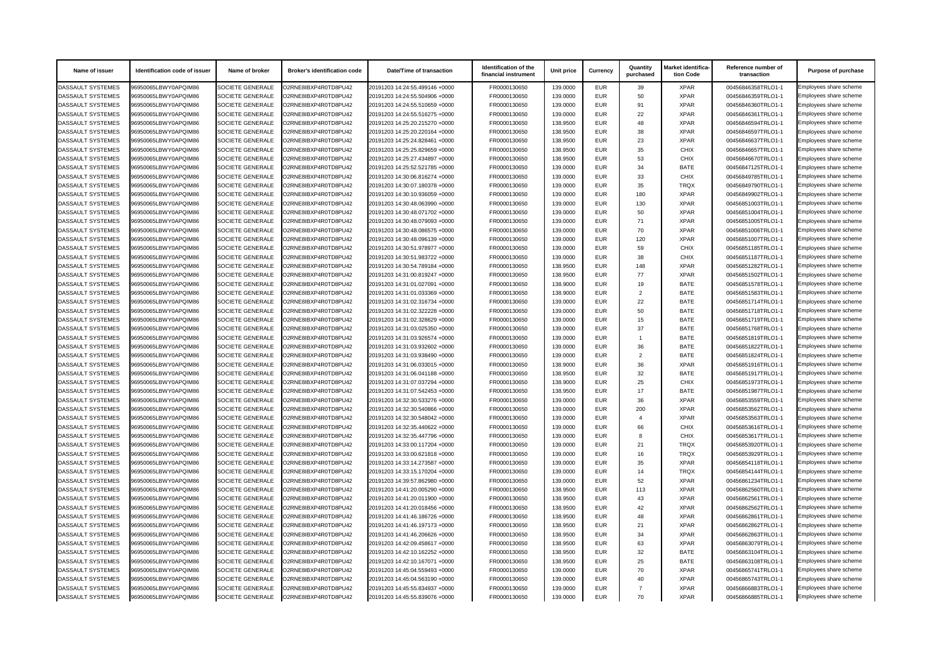| Name of issuer           | Identification code of issuer | Name of broker          | <b>Broker's identification code</b> | <b>Date/Time of transaction</b> | Identification of the<br>financial instrument | Unit price | <b>Currency</b> | Quantity<br>purchased | Market identifica-<br>tion Code | Reference number of<br>transaction | <b>Purpose of purchase</b> |
|--------------------------|-------------------------------|-------------------------|-------------------------------------|---------------------------------|-----------------------------------------------|------------|-----------------|-----------------------|---------------------------------|------------------------------------|----------------------------|
| <b>DASSAULT SYSTEMES</b> | 96950065LBWY0APQIM86          | SOCIETE GENERALE        | O2RNE8IBXP4R0TD8PU42                | 20191203 14:24:55.499146 +0000  | FR0000130650                                  | 139.0000   | <b>EUR</b>      | 39                    | <b>XPAR</b>                     | 00456846358TRLO1-1                 | Employees share scheme     |
| DASSAULT SYSTEMES        | 96950065LBWY0APQIM86          | <b>SOCIETE GENERALE</b> | O2RNE8IBXP4R0TD8PU42                | 20191203 14:24:55.504906 +0000  | FR0000130650                                  | 139.0000   | <b>EUR</b>      | 50                    | <b>XPAR</b>                     | 00456846359TRLO1-1                 | Employees share scheme     |
| <b>DASSAULT SYSTEMES</b> | 96950065LBWY0APQIM86          | <b>SOCIETE GENERALE</b> | O2RNE8IBXP4R0TD8PU42                | 20191203 14:24:55.510659 +0000  | FR0000130650                                  | 139.0000   | <b>EUR</b>      | 91                    | <b>XPAR</b>                     | 00456846360TRLO1-1                 | Employees share scheme     |
| DASSAULT SYSTEMES        | 96950065LBWY0APQIM86          | <b>SOCIETE GENERALE</b> | O2RNE8IBXP4R0TD8PU42                | 20191203 14:24:55.516275 +0000  | FR0000130650                                  | 139.0000   | <b>EUR</b>      | 22                    | <b>XPAR</b>                     | 00456846361TRLO1-1                 | Employees share scheme     |
| <b>DASSAULT SYSTEMES</b> | 96950065LBWY0APQIM86          | <b>SOCIETE GENERALE</b> | O2RNE8IBXP4R0TD8PU42                | 20191203 14:25:20.215270 +0000  | FR0000130650                                  | 138.9500   | <b>EUR</b>      | 48                    | <b>XPAR</b>                     | 00456846594TRLO1-1                 | Employees share scheme     |
| <b>DASSAULT SYSTEMES</b> | 96950065LBWY0APQIM86          | <b>SOCIETE GENERALE</b> | O2RNE8IBXP4R0TD8PU42                | 20191203 14:25:20.220164 +0000  | FR0000130650                                  | 138.9500   | <b>EUR</b>      | 38                    | <b>XPAR</b>                     | 00456846597TRLO1-1                 | Employees share scheme     |
| DASSAULT SYSTEMES        | 96950065LBWY0APQIM86          | <b>SOCIETE GENERALE</b> | O2RNE8IBXP4R0TD8PU42                | 20191203 14:25:24.828461 +0000  | FR0000130650                                  | 138.9500   | <b>EUR</b>      | 23                    | <b>XPAR</b>                     | 00456846637TRLO1-1                 | Employees share scheme     |
| <b>DASSAULT SYSTEMES</b> | 96950065LBWY0APQIM86          | <b>SOCIETE GENERALE</b> | O2RNE8IBXP4R0TD8PU42                | 20191203 14:25:25.829659 +0000  | FR0000130650                                  | 138.9500   | <b>EUR</b>      | 35                    | <b>CHIX</b>                     | 00456846657TRLO1-1                 | Employees share scheme     |
| DASSAULT SYSTEMES        | 96950065LBWY0APQIM86          | <b>SOCIETE GENERALE</b> | O2RNE8IBXP4R0TD8PU42                | 20191203 14:25:27.434897 +0000  | FR0000130650                                  | 138.9500   | <b>EUR</b>      | 53                    | <b>CHIX</b>                     | 00456846670TRLO1-1                 | Employees share scheme     |
| <b>DASSAULT SYSTEMES</b> | 96950065LBWY0APQIM86          | <b>SOCIETE GENERALE</b> | O2RNE8IBXP4R0TD8PU42                | 20191203 14:25:52.521785 +0000  | FR0000130650                                  | 139.0000   | <b>EUR</b>      | 34                    | <b>BATE</b>                     | 00456847125TRLO1-1                 | Employees share scheme     |
| <b>DASSAULT SYSTEMES</b> | 96950065LBWY0APQIM86          | <b>SOCIETE GENERALE</b> | O2RNE8IBXP4R0TD8PU42                | 20191203 14:30:06.816274 +0000  | FR0000130650                                  | 139.0000   | <b>EUR</b>      | 33                    | <b>CHIX</b>                     | 00456849785TRLO1-1                 | Employees share scheme     |
| DASSAULT SYSTEMES        | 96950065LBWY0APQIM86          | <b>SOCIETE GENERALE</b> | O2RNE8IBXP4R0TD8PU42                | 20191203 14:30:07.180378 +0000  | FR0000130650                                  | 139.0000   | <b>EUR</b>      | 35                    | <b>TRQX</b>                     | 00456849790TRLO1-1                 | Employees share scheme     |
| DASSAULT SYSTEMES        | 96950065LBWY0APQIM86          | <b>SOCIETE GENERALE</b> | O2RNE8IBXP4R0TD8PU42                | 20191203 14:30:10.936059 +0000  | FR0000130650                                  | 139.0000   | <b>EUR</b>      | 180                   | <b>XPAR</b>                     | 00456849902TRLO1-1                 | Employees share scheme     |
| <b>DASSAULT SYSTEMES</b> | 96950065LBWY0APQIM86          | <b>SOCIETE GENERALE</b> | O2RNE8IBXP4R0TD8PU42                | 20191203 14:30:48.063990 +0000  | FR0000130650                                  | 139.0000   | <b>EUR</b>      | 130                   | <b>XPAR</b>                     | 00456851003TRLO1-1                 | Employees share scheme     |
| <b>DASSAULT SYSTEMES</b> | 96950065LBWY0APQIM86          | <b>SOCIETE GENERALE</b> | O2RNE8IBXP4R0TD8PU42                | 20191203 14:30:48.071702 +0000  | FR0000130650                                  | 139.0000   | <b>EUR</b>      | 50                    | <b>XPAR</b>                     | 00456851004TRLO1-1                 | Employees share scheme     |
| <b>DASSAULT SYSTEMES</b> | 96950065LBWY0APQIM86          | <b>SOCIETE GENERALE</b> | O2RNE8IBXP4R0TD8PU42                | 20191203 14:30:48.079093 +0000  | FR0000130650                                  | 139.0000   | <b>EUR</b>      | 71                    | <b>XPAR</b>                     | 00456851005TRLO1-1                 | Employees share scheme     |
| DASSAULT SYSTEMES        | 96950065LBWY0APQIM86          | <b>SOCIETE GENERALE</b> | O2RNE8IBXP4R0TD8PU42                | 20191203 14:30:48.086575 +0000  | FR0000130650                                  | 139.0000   | <b>EUR</b>      | 70                    | <b>XPAR</b>                     | 00456851006TRLO1-1                 | Employees share scheme     |
| DASSAULT SYSTEMES        | 96950065LBWY0APQIM86          | <b>SOCIETE GENERALE</b> | O2RNE8IBXP4R0TD8PU42                | 20191203 14:30:48.096139 +0000  | FR0000130650                                  | 139.0000   | <b>EUR</b>      | 120                   | <b>XPAR</b>                     | 00456851007TRLO1-1                 | Employees share scheme     |
| DASSAULT SYSTEMES        | 96950065LBWY0APQIM86          | <b>SOCIETE GENERALE</b> | O2RNE8IBXP4R0TD8PU42                | 20191203 14:30:51.978977 +0000  | FR0000130650                                  | 139.0000   | <b>EUR</b>      | 59                    | <b>CHIX</b>                     | 00456851185TRLO1-1                 | Employees share scheme     |
| <b>DASSAULT SYSTEMES</b> | 96950065LBWY0APQIM86          | <b>SOCIETE GENERALE</b> | O2RNE8IBXP4R0TD8PU42                | 20191203 14:30:51.983722 +0000  | FR0000130650                                  | 139.0000   | <b>EUR</b>      | 38                    | <b>CHIX</b>                     | 00456851187TRLO1-1                 | Employees share scheme     |
| <b>DASSAULT SYSTEMES</b> | 96950065LBWY0APQIM86          | <b>SOCIETE GENERALE</b> | O2RNE8IBXP4R0TD8PU42                | 20191203 14:30:54.789184 +0000  | FR0000130650                                  | 138.9500   | <b>EUR</b>      | 148                   | <b>XPAR</b>                     | 00456851282TRLO1-1                 | Employees share scheme     |
| <b>DASSAULT SYSTEMES</b> | 96950065LBWY0APQIM86          | <b>SOCIETE GENERALE</b> | O2RNE8IBXP4R0TD8PU42                | 20191203 14:31:00.819247 +0000  | FR0000130650                                  | 138.9500   | <b>EUR</b>      | 77                    | <b>XPAR</b>                     | 00456851502TRLO1-1                 | Employees share scheme     |
| <b>DASSAULT SYSTEMES</b> | 96950065LBWY0APQIM86          | <b>SOCIETE GENERALE</b> | O2RNE8IBXP4R0TD8PU42                | 20191203 14:31:01.027091 +0000  | FR0000130650                                  | 138.9000   | <b>EUR</b>      | 19                    | <b>BATE</b>                     | 00456851578TRLO1-1                 | Employees share scheme     |
| <b>DASSAULT SYSTEMES</b> | 96950065LBWY0APQIM86          | <b>SOCIETE GENERALE</b> | O2RNE8IBXP4R0TD8PU42                | 20191203 14:31:01.033369 +0000  | FR0000130650                                  | 138.9000   | <b>EUR</b>      | $\mathcal{D}$         | <b>BATE</b>                     | 00456851583TRLO1-1                 | Employees share scheme     |
| DASSAULT SYSTEMES        | 96950065LBWY0APQIM86          | <b>SOCIETE GENERALE</b> | O2RNE8IBXP4R0TD8PU42                | 20191203 14:31:02.316734 +0000  | FR0000130650                                  | 139.0000   | <b>EUR</b>      | 22                    | <b>BATE</b>                     | 00456851714TRLO1-1                 | Employees share scheme     |
| <b>DASSAULT SYSTEMES</b> | 96950065LBWY0APQIM86          | <b>SOCIETE GENERALE</b> | O2RNE8IBXP4R0TD8PU42                | 20191203 14:31:02.322228 +0000  | FR0000130650                                  | 139.0000   | <b>EUR</b>      | 50                    | <b>BATE</b>                     | 00456851718TRLO1-1                 | Employees share scheme     |
| <b>DASSAULT SYSTEMES</b> | 96950065LBWY0APQIM86          | <b>SOCIETE GENERALE</b> | O2RNE8IBXP4R0TD8PU42                | 20191203 14:31:02.328629 +0000  | FR0000130650                                  | 139.0000   | <b>EUR</b>      | 15                    | <b>BATE</b>                     | 00456851719TRLO1-1                 | Employees share scheme     |
| DASSAULT SYSTEMES        | 96950065LBWY0APQIM86          | <b>SOCIETE GENERALE</b> | O2RNE8IBXP4R0TD8PU42                | 20191203 14:31:03.025350 +0000  | FR0000130650                                  | 139.0000   | <b>EUR</b>      | 37                    | <b>BATE</b>                     | 00456851768TRLO1-1                 | Employees share scheme     |
| DASSAULT SYSTEMES        | 96950065LBWY0APQIM86          | SOCIETE GENERALE        | O2RNE8IBXP4R0TD8PU42                | 20191203 14:31:03.926574 +0000  | FR0000130650                                  | 139.0000   | <b>EUR</b>      |                       | <b>BATE</b>                     | 00456851819TRLO1-1                 | Employees share scheme     |
| DASSAULT SYSTEMES        | 96950065LBWY0APQIM86          | <b>SOCIETE GENERALE</b> | O2RNE8IBXP4R0TD8PU42                | 20191203 14:31:03.932602 +0000  | FR0000130650                                  | 139.0000   | <b>EUR</b>      | 36                    | <b>BATE</b>                     | 00456851822TRLO1-1                 | Employees share scheme     |
| <b>DASSAULT SYSTEMES</b> | 96950065LBWY0APQIM86          | <b>SOCIETE GENERALE</b> | O2RNE8IBXP4R0TD8PU42                | 20191203 14:31:03.938490 +0000  | FR0000130650                                  | 139.0000   | <b>EUR</b>      | $\overline{2}$        | <b>BATE</b>                     | 00456851824TRLO1-1                 | Employees share scheme     |
| DASSAULT SYSTEMES        | 96950065LBWY0APQIM86          | SOCIETE GENERALE        | O2RNE8IBXP4R0TD8PU42                | 20191203 14:31:06.033015 +0000  | FR0000130650                                  | 138.9000   | <b>EUR</b>      | 36                    | <b>XPAR</b>                     | 00456851916TRLO1-1                 | Employees share scheme     |
| <b>DASSAULT SYSTEMES</b> | 96950065LBWY0APQIM86          | <b>SOCIETE GENERALE</b> | O2RNE8IBXP4R0TD8PU42                | 20191203 14:31:06.041188 +0000  | FR0000130650                                  | 138.9500   | <b>EUR</b>      | 32                    | <b>BATE</b>                     | 00456851917TRLO1-1                 | Employees share scheme     |
| <b>DASSAULT SYSTEMES</b> | 96950065LBWY0APQIM86          | <b>SOCIETE GENERALE</b> | O2RNE8IBXP4R0TD8PU42                | 20191203 14:31:07.037294 +0000  | FR0000130650                                  | 138.9000   | <b>EUR</b>      | 25                    | <b>CHIX</b>                     | 00456851973TRLO1-1                 | Employees share scheme     |
| <b>DASSAULT SYSTEMES</b> | 96950065LBWY0APQIM86          | <b>SOCIETE GENERALE</b> | O2RNE8IBXP4R0TD8PU42                | 20191203 14:31:07.542453 +0000  | FR0000130650                                  | 138.9500   | <b>EUR</b>      | 17                    | <b>BATE</b>                     | 00456851987TRLO1-1                 | Employees share scheme     |
| <b>DASSAULT SYSTEMES</b> | 96950065LBWY0APQIM86          | <b>SOCIETE GENERALE</b> | O2RNE8IBXP4R0TD8PU42                | 20191203 14:32:30.533276 +0000  | FR0000130650                                  | 139.0000   | <b>EUR</b>      | 36                    | <b>XPAR</b>                     | 00456853559TRLO1-1                 | Employees share scheme     |
| DASSAULT SYSTEMES        | 96950065LBWY0APQIM86          | <b>SOCIETE GENERALE</b> | O2RNE8IBXP4R0TD8PU42                | 20191203 14:32:30.540866 +0000  | FR0000130650                                  | 139.0000   | <b>EUR</b>      | 200                   | <b>XPAR</b>                     | 00456853562TRLO1-1                 | Employees share scheme     |
| <b>DASSAULT SYSTEMES</b> | 96950065LBWY0APQIM86          | <b>SOCIETE GENERALE</b> | O2RNE8IBXP4R0TD8PU42                | 20191203 14:32:30.548042 +0000  | FR0000130650                                  | 139.0000   | <b>EUR</b>      |                       | <b>XPAR</b>                     | 00456853563TRLO1-1                 | Employees share scheme     |
| <b>DASSAULT SYSTEMES</b> | 96950065LBWY0APQIM86          | <b>SOCIETE GENERALE</b> | O2RNE8IBXP4R0TD8PU42                | 20191203 14:32:35.440622 +0000  | FR0000130650                                  | 139.0000   | <b>EUR</b>      | 66                    | <b>CHIX</b>                     | 00456853616TRLO1-1                 | Employees share scheme     |
| DASSAULT SYSTEMES        | 96950065LBWY0APQIM86          | <b>SOCIETE GENERALE</b> | O2RNE8IBXP4R0TD8PU42                | 20191203 14:32:35.447796 +0000  | FR0000130650                                  | 139.0000   | <b>EUR</b>      |                       | <b>CHIX</b>                     | 00456853617TRLO1-1                 | Employees share scheme     |
| <b>DASSAULT SYSTEMES</b> | 96950065LBWY0APQIM86          | <b>SOCIETE GENERALE</b> | O2RNE8IBXP4R0TD8PU42                | 20191203 14:33:00.117204 +0000  | FR0000130650                                  | 139.0000   | <b>EUR</b>      | 21                    | <b>TRQX</b>                     | 00456853920TRLO1-1                 | Employees share scheme     |
| <b>DASSAULT SYSTEMES</b> | 96950065LBWY0APQIM86          | <b>SOCIETE GENERALE</b> | O2RNE8IBXP4R0TD8PU42                | 20191203 14:33:00.621818 +0000  | FR0000130650                                  | 139.0000   | <b>EUR</b>      | 16                    | <b>TRQX</b>                     | 00456853929TRLO1-1                 | Employees share scheme     |
| <b>DASSAULT SYSTEMES</b> | 96950065LBWY0APQIM86          | SOCIETE GENERALE        | O2RNE8IBXP4R0TD8PU42                | 20191203 14:33:14.273587 +0000  | FR0000130650                                  | 139.0000   | <b>EUR</b>      | 35                    | <b>XPAR</b>                     | 00456854118TRLO1-1                 | Employees share scheme     |
| <b>DASSAULT SYSTEMES</b> | 96950065LBWY0APQIM86          | <b>SOCIETE GENERALE</b> | O2RNE8IBXP4R0TD8PU42                | 20191203 14:33:15.170204 +0000  | FR0000130650                                  | 139.0000   | <b>EUR</b>      | 14                    | <b>TRQX</b>                     | 00456854144TRLO1-1                 | Employees share scheme     |
| DASSAULT SYSTEMES        | 96950065LBWY0APQIM86          | <b>SOCIETE GENERALE</b> | O2RNE8IBXP4R0TD8PU42                | 20191203 14:39:57.862980 +0000  | FR0000130650                                  | 139.0000   | <b>EUR</b>      | 52                    | <b>XPAR</b>                     | 00456861234TRLO1-1                 | Employees share scheme     |
| <b>DASSAULT SYSTEMES</b> | 96950065LBWY0APQIM86          | <b>SOCIETE GENERALE</b> | O2RNE8IBXP4R0TD8PU42                | 20191203 14:41:20.005290 +0000  | FR0000130650                                  | 138.9500   | <b>EUR</b>      | 113                   | <b>XPAR</b>                     | 00456862560TRLO1-1                 | Employees share scheme     |
| DASSAULT SYSTEMES        | 96950065LBWY0APQIM86          | <b>SOCIETE GENERALE</b> | O2RNE8IBXP4R0TD8PU42                | 20191203 14:41:20.011900 +0000  | FR0000130650                                  | 138.9500   | <b>EUR</b>      | 43                    | <b>XPAR</b>                     | 00456862561TRLO1-1                 | Employees share scheme     |
| DASSAULT SYSTEMES        | 96950065LBWY0APQIM86          | <b>SOCIETE GENERALE</b> | O2RNE8IBXP4R0TD8PU42                | 20191203 14:41:20.018456 +0000  | FR0000130650                                  | 138.9500   | <b>EUR</b>      | 42                    | <b>XPAR</b>                     | 00456862562TRLO1-1                 | Employees share scheme     |
| <b>DASSAULT SYSTEMES</b> | 96950065LBWY0APQIM86          | <b>SOCIETE GENERALE</b> | O2RNE8IBXP4R0TD8PU42                | 20191203 14:41:46.186726 +0000  | FR0000130650                                  | 138.9500   | <b>EUR</b>      | 48                    | <b>XPAR</b>                     | 00456862861TRLO1-1                 | Employees share scheme     |
| DASSAULT SYSTEMES        | 96950065LBWY0APQIM86          | SOCIETE GENERALE        | O2RNE8IBXP4R0TD8PU42                | 20191203 14:41:46.197173 +0000  | FR0000130650                                  | 138.9500   | <b>EUR</b>      | 21                    | <b>XPAR</b>                     | 00456862862TRLO1-1                 | Employees share scheme     |
| <b>DASSAULT SYSTEMES</b> | 96950065LBWY0APQIM86          | <b>SOCIETE GENERALE</b> | O2RNE8IBXP4R0TD8PU42                | 20191203 14:41:46.206626 +0000  | FR0000130650                                  | 138.9500   | <b>EUR</b>      | 34                    | <b>XPAR</b>                     | 00456862863TRLO1-1                 | Employees share scheme     |
| <b>DASSAULT SYSTEMES</b> | 96950065LBWY0APQIM86          | <b>SOCIETE GENERALE</b> | O2RNE8IBXP4R0TD8PU42                | 20191203 14:42:09.458617 +0000  | FR0000130650                                  | 138.9500   | <b>EUR</b>      | 63                    | <b>XPAR</b>                     | 00456863079TRLO1-1                 | Employees share scheme     |
| DASSAULT SYSTEMES        | 96950065LBWY0APQIM86          | SOCIETE GENERALE        | O2RNE8IBXP4R0TD8PU42                | 20191203 14:42:10.162252 +0000  | FR0000130650                                  | 138.9500   | <b>EUR</b>      | 32                    | <b>BATE</b>                     | 00456863104TRLO1-1                 | Employees share scheme     |
| <b>DASSAULT SYSTEMES</b> | 96950065LBWY0APQIM86          | <b>SOCIETE GENERALE</b> | O2RNE8IBXP4R0TD8PU42                | 20191203 14:42:10.167071 +0000  | FR0000130650                                  | 138.9500   | <b>EUR</b>      | 25                    | <b>BATE</b>                     | 00456863108TRLO1-1                 | Employees share scheme     |
| DASSAULT SYSTEMES        | 96950065LBWY0APQIM86          | <b>SOCIETE GENERALE</b> | O2RNE8IBXP4R0TD8PU42                | 20191203 14:45:04.559493 +0000  | FR0000130650                                  | 139.0000   | <b>EUR</b>      | 70                    | <b>XPAR</b>                     | 00456865741TRLO1-1                 | Employees share scheme     |
| <b>DASSAULT SYSTEMES</b> | 96950065LBWY0APQIM86          | <b>SOCIETE GENERALE</b> | O2RNE8IBXP4R0TD8PU42                | 20191203 14:45:04.563190 +0000  | FR0000130650                                  | 139.0000   | <b>EUR</b>      | 40                    | <b>XPAR</b>                     | 00456865743TRLO1-1                 | Employees share scheme     |
| <b>DASSAULT SYSTEMES</b> | 96950065LBWY0APQIM86          | <b>SOCIETE GENERALE</b> | O2RNE8IBXP4R0TD8PU42                | 20191203 14:45:55.834937 +0000  | FR0000130650                                  | 139.0000   | <b>EUR</b>      |                       | <b>XPAR</b>                     | 00456866883TRLO1-1                 | Employees share scheme     |
| DASSAULT SYSTEMES        | 96950065LBWY0APQIM86          | SOCIETE GENERALE        | O2RNE8IBXP4R0TD8PU42                | 20191203 14:45:55.839076 +0000  | FR0000130650                                  | 139.0000   | EUR             | 70                    | <b>XPAR</b>                     | 00456866885TRLO1-1                 | Employees share scheme     |